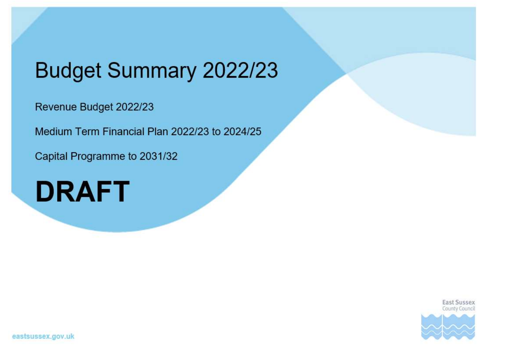# **Budget Summary 2022/23**

Revenue Budget 2022/23

Medium Term Financial Plan 2022/23 to 2024/25

Capital Programme to 2031/32



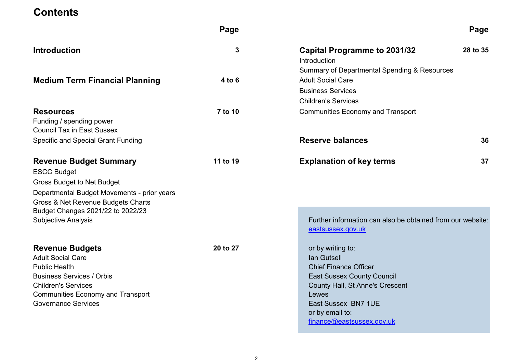### **Contents**

|                                                                                                                                                                                                                                                  | Page     |                                                                                                                                                                                                                          | Page     |
|--------------------------------------------------------------------------------------------------------------------------------------------------------------------------------------------------------------------------------------------------|----------|--------------------------------------------------------------------------------------------------------------------------------------------------------------------------------------------------------------------------|----------|
| <b>Introduction</b>                                                                                                                                                                                                                              | 3        | <b>Capital Programme to 2031/32</b><br>Introduction                                                                                                                                                                      | 28 to 35 |
| <b>Medium Term Financial Planning</b>                                                                                                                                                                                                            | $4$ to 6 | Summary of Departmental Spending & Resources<br><b>Adult Social Care</b><br><b>Business Services</b><br><b>Children's Services</b>                                                                                       |          |
| <b>Resources</b><br>Funding / spending power<br><b>Council Tax in East Sussex</b>                                                                                                                                                                | 7 to 10  | <b>Communities Economy and Transport</b>                                                                                                                                                                                 |          |
| <b>Specific and Special Grant Funding</b>                                                                                                                                                                                                        |          | <b>Reserve balances</b>                                                                                                                                                                                                  | 36       |
| <b>Revenue Budget Summary</b><br><b>ESCC Budget</b><br><b>Gross Budget to Net Budget</b><br>Departmental Budget Movements - prior years<br>Gross & Net Revenue Budgets Charts<br>Budget Changes 2021/22 to 2022/23<br><b>Subjective Analysis</b> | 11 to 19 | <b>Explanation of key terms</b><br>Further information can also be obtained from our website:<br>eastsussex.gov.uk                                                                                                       | 37       |
| <b>Revenue Budgets</b><br><b>Adult Social Care</b><br><b>Public Health</b><br><b>Business Services / Orbis</b><br><b>Children's Services</b><br><b>Communities Economy and Transport</b><br><b>Governance Services</b>                           | 20 to 27 | or by writing to:<br>lan Gutsell<br><b>Chief Finance Officer</b><br><b>East Sussex County Council</b><br>County Hall, St Anne's Crescent<br>Lewes<br>East Sussex BN7 1UE<br>or by email to:<br>finance@eastsussex.gov.uk |          |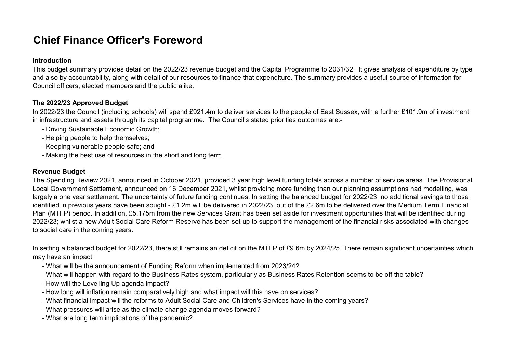## Chief Finance Officer's Foreword

### Introduction

This budget summary provides detail on the 2022/23 revenue budget and the Capital Programme to 2031/32. It gives analysis of expenditure by type and also by accountability, along with detail of our resources to finance that expenditure. The summary provides a useful source of information for Council officers, elected members and the public alike.

### The 2022/23 Approved Budget

In 2022/23 the Council (including schools) will spend £921.4m to deliver services to the people of East Sussex, with a further £101.9m of investment in infrastructure and assets through its capital programme. The Council's stated priorities outcomes are:-

- Driving Sustainable Economic Growth;
- Helping people to help themselves;
- Keeping vulnerable people safe; and
- Making the best use of resources in the short and long term.

### Revenue Budget

The Spending Review 2021, announced in October 2021, provided 3 year high level funding totals across a number of service areas. The Provisional Local Government Settlement, announced on 16 December 2021, whilst providing more funding than our planning assumptions had modelling, was largely a one year settlement. The uncertainty of future funding continues. In setting the balanced budget for 2022/23, no additional savings to those identified in previous years have been sought - £1.2m will be delivered in 2022/23, out of the £2.6m to be delivered over the Medium Term Financial Plan (MTFP) period. In addition, £5.175m from the new Services Grant has been set aside for investment opportunities that will be identified during 2022/23; whilst a new Adult Social Care Reform Reserve has been set up to support the management of the financial risks associated with changes to social care in the coming years.

In setting a balanced budget for 2022/23, there still remains an deficit on the MTFP of £9.6m by 2024/25. There remain significant uncertainties which may have an impact:

- What will be the announcement of Funding Reform when implemented from 2023/24?
- What will happen with regard to the Business Rates system, particularly as Business Rates Retention seems to be off the table?
- How will the Levelling Up agenda impact?
- How long will inflation remain comparatively high and what impact will this have on services?
- What financial impact will the reforms to Adult Social Care and Children's Services have in the coming years?
- What pressures will arise as the climate change agenda moves forward?
- What are long term implications of the pandemic?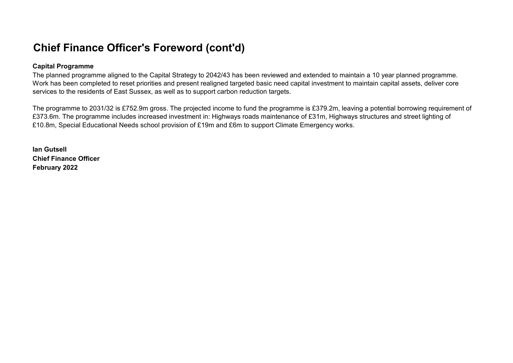## Chief Finance Officer's Foreword (cont'd)

### Capital Programme

The planned programme aligned to the Capital Strategy to 2042/43 has been reviewed and extended to maintain a 10 year planned programme. Work has been completed to reset priorities and present realigned targeted basic need capital investment to maintain capital assets, deliver core services to the residents of East Sussex, as well as to support carbon reduction targets.

The programme to 2031/32 is £752.9m gross. The projected income to fund the programme is £379.2m, leaving a potential borrowing requirement of £373.6m. The programme includes increased investment in: Highways roads maintenance of £31m, Highways structures and street lighting of £10.8m, Special Educational Needs school provision of £19m and £6m to support Climate Emergency works.

Ian Gutsell Chief Finance Officer February 2022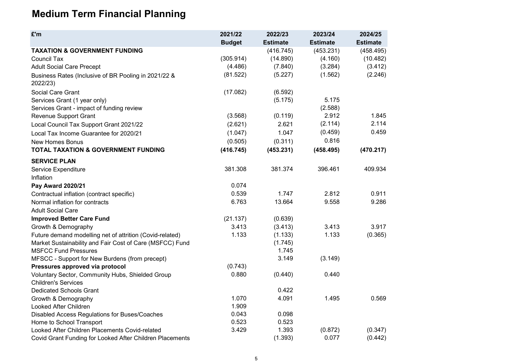## Medium Term Financial Planning

| £'m                                                              | 2021/22       | 2022/23         | 2023/24         | 2024/25         |  |
|------------------------------------------------------------------|---------------|-----------------|-----------------|-----------------|--|
|                                                                  | <b>Budget</b> | <b>Estimate</b> | <b>Estimate</b> | <b>Estimate</b> |  |
| <b>TAXATION &amp; GOVERNMENT FUNDING</b>                         |               | (416.745)       | (453.231)       | (458.495)       |  |
| <b>Council Tax</b>                                               | (305.914)     | (14.890)        | (4.160)         | (10.482)        |  |
| <b>Adult Social Care Precept</b>                                 | (4.486)       | (7.840)         | (3.284)         | (3.412)         |  |
| Business Rates (Inclusive of BR Pooling in 2021/22 &<br>2022/23) | (81.522)      | (5.227)         | (1.562)         | (2.246)         |  |
| Social Care Grant                                                | (17.082)      | (6.592)         |                 |                 |  |
| Services Grant (1 year only)                                     |               | (5.175)         | 5.175           |                 |  |
| Services Grant - impact of funding review                        |               |                 | (2.588)         |                 |  |
| Revenue Support Grant                                            | (3.568)       | (0.119)         | 2.912           | 1.845           |  |
| Local Council Tax Support Grant 2021/22                          | (2.621)       | 2.621           | (2.114)         | 2.114           |  |
| Local Tax Income Guarantee for 2020/21                           | (1.047)       | 1.047           | (0.459)         | 0.459           |  |
| <b>New Homes Bonus</b>                                           | (0.505)       | (0.311)         | 0.816           |                 |  |
| TOTAL TAXATION & GOVERNMENT FUNDING                              | (416.745)     | (453.231)       | (458.495)       | (470.217)       |  |
| <b>SERVICE PLAN</b>                                              |               |                 |                 |                 |  |
| Service Expenditure                                              | 381.308       | 381.374         | 396.461         | 409.934         |  |
| Inflation                                                        |               |                 |                 |                 |  |
| Pay Award 2020/21                                                | 0.074         |                 |                 |                 |  |
| Contractual inflation (contract specific)                        | 0.539         | 1.747           | 2.812           | 0.911           |  |
| Normal inflation for contracts                                   | 6.763         | 13.664          | 9.558           | 9.286           |  |
| <b>Adult Social Care</b>                                         |               |                 |                 |                 |  |
| <b>Improved Better Care Fund</b>                                 | (21.137)      | (0.639)         |                 |                 |  |
| Growth & Demography                                              | 3.413         | (3.413)         | 3.413           | 3.917           |  |
| Future demand modelling net of attrition (Covid-related)         | 1.133         | (1.133)         | 1.133           | (0.365)         |  |
| Market Sustainability and Fair Cost of Care (MSFCC) Fund         |               | (1.745)         |                 |                 |  |
| <b>MSFCC Fund Pressures</b>                                      |               | 1.745           |                 |                 |  |
| MFSCC - Support for New Burdens (from precept)                   |               | 3.149           | (3.149)         |                 |  |
| Pressures approved via protocol                                  | (0.743)       |                 |                 |                 |  |
| Voluntary Sector, Community Hubs, Shielded Group                 | 0.880         | (0.440)         | 0.440           |                 |  |
| <b>Children's Services</b>                                       |               |                 |                 |                 |  |
| <b>Dedicated Schools Grant</b>                                   |               | 0.422           |                 |                 |  |
| Growth & Demography                                              | 1.070         | 4.091           | 1.495           | 0.569           |  |
| Looked After Children                                            | 1.909         |                 |                 |                 |  |
| Disabled Access Regulations for Buses/Coaches                    | 0.043         | 0.098           |                 |                 |  |
| Home to School Transport                                         | 0.523         | 0.523           |                 |                 |  |
| Looked After Children Placements Covid-related                   | 3.429         | 1.393           | (0.872)         | (0.347)         |  |
| Covid Grant Funding for Looked After Children Placements         |               | (1.393)         | 0.077           | (0.442)         |  |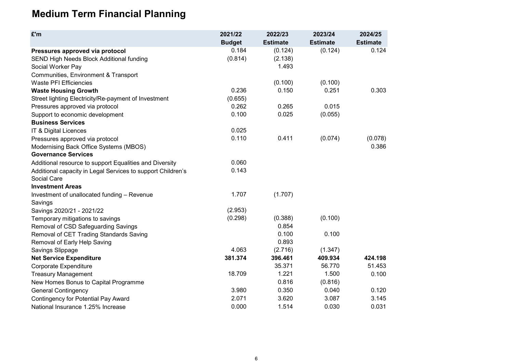## Medium Term Financial Planning

| £'m                                                         | 2021/22       | 2022/23         | 2023/24         | 2024/25         |
|-------------------------------------------------------------|---------------|-----------------|-----------------|-----------------|
|                                                             | <b>Budget</b> | <b>Estimate</b> | <b>Estimate</b> | <b>Estimate</b> |
| Pressures approved via protocol                             | 0.184         | (0.124)         | (0.124)         | 0.124           |
| SEND High Needs Block Additional funding                    | (0.814)       | (2.138)         |                 |                 |
| Social Worker Pay                                           |               | 1.493           |                 |                 |
| Communities, Environment & Transport                        |               |                 |                 |                 |
| <b>Waste PFI Efficiencies</b>                               |               | (0.100)         | (0.100)         |                 |
| <b>Waste Housing Growth</b>                                 | 0.236         | 0.150           | 0.251           | 0.303           |
| Street lighting Electricity/Re-payment of Investment        | (0.655)       |                 |                 |                 |
| Pressures approved via protocol                             | 0.262         | 0.265           | 0.015           |                 |
| Support to economic development                             | 0.100         | 0.025           | (0.055)         |                 |
| <b>Business Services</b>                                    |               |                 |                 |                 |
| IT & Digital Licences                                       | 0.025         |                 |                 |                 |
| Pressures approved via protocol                             | 0.110         | 0.411           | (0.074)         | (0.078)         |
| Modernising Back Office Systems (MBOS)                      |               |                 |                 | 0.386           |
| <b>Governance Services</b>                                  |               |                 |                 |                 |
| Additional resource to support Equalities and Diversity     | 0.060         |                 |                 |                 |
| Additional capacity in Legal Services to support Children's | 0.143         |                 |                 |                 |
| Social Care                                                 |               |                 |                 |                 |
| <b>Investment Areas</b>                                     |               |                 |                 |                 |
| Investment of unallocated funding - Revenue                 | 1.707         | (1.707)         |                 |                 |
| Savings                                                     |               |                 |                 |                 |
| Savings 2020/21 - 2021/22                                   | (2.953)       |                 |                 |                 |
| Temporary mitigations to savings                            | (0.298)       | (0.388)         | (0.100)         |                 |
| Removal of CSD Safeguarding Savings                         |               | 0.854           |                 |                 |
| Removal of CET Trading Standards Saving                     |               | 0.100           | 0.100           |                 |
| Removal of Early Help Saving                                |               | 0.893           |                 |                 |
| Savings Slippage                                            | 4.063         | (2.716)         | (1.347)         |                 |
| <b>Net Service Expenditure</b>                              | 381.374       | 396.461         | 409.934         | 424.198         |
| <b>Corporate Expenditure</b>                                |               | 35.371          | 56.770          | 51.453          |
| <b>Treasury Management</b>                                  | 18.709        | 1.221           | 1.500           | 0.100           |
| New Homes Bonus to Capital Programme                        |               | 0.816           | (0.816)         |                 |
| <b>General Contingency</b>                                  | 3.980         | 0.350           | 0.040           | 0.120           |
| <b>Contingency for Potential Pay Award</b>                  | 2.071         | 3.620           | 3.087           | 3.145           |
| National Insurance 1.25% Increase                           | 0.000         | 1.514           | 0.030           | 0.031           |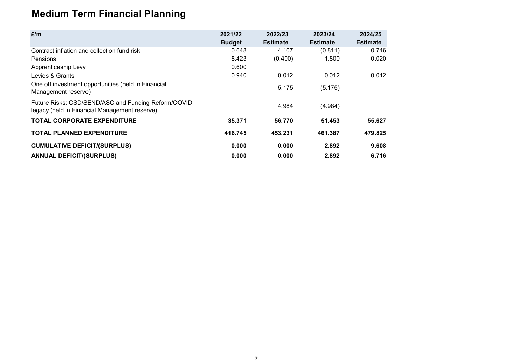# Medium Term Financial Planning

| £'m                                                                                                  | 2021/22       | 2022/23         | 2023/24         | 2024/25         |
|------------------------------------------------------------------------------------------------------|---------------|-----------------|-----------------|-----------------|
|                                                                                                      | <b>Budget</b> | <b>Estimate</b> | <b>Estimate</b> | <b>Estimate</b> |
| Contract inflation and collection fund risk                                                          | 0.648         | 4.107           | (0.811)         | 0.746           |
| <b>Pensions</b>                                                                                      | 8.423         | (0.400)         | 1.800           | 0.020           |
| Apprenticeship Levy                                                                                  | 0.600         |                 |                 |                 |
| Levies & Grants                                                                                      | 0.940         | 0.012           | 0.012           | 0.012           |
| One off investment opportunities (held in Financial<br>Management reserve)                           |               | 5.175           | (5.175)         |                 |
| Future Risks: CSD/SEND/ASC and Funding Reform/COVID<br>legacy (held in Financial Management reserve) |               | 4.984           | (4.984)         |                 |
| <b>TOTAL CORPORATE EXPENDITURE</b>                                                                   | 35.371        | 56.770          | 51.453          | 55.627          |
| <b>TOTAL PLANNED EXPENDITURE</b>                                                                     | 416.745       | 453.231         | 461.387         | 479.825         |
| <b>CUMULATIVE DEFICIT/(SURPLUS)</b>                                                                  | 0.000         | 0.000           | 2.892           | 9.608           |
| <b>ANNUAL DEFICIT/(SURPLUS)</b>                                                                      | 0.000         | 0.000           | 2.892           | 6.716           |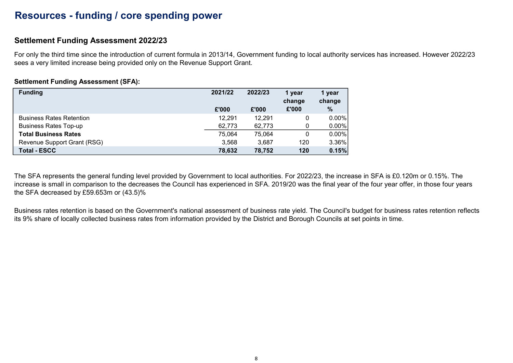### Resources - funding / core spending power

### Settlement Funding Assessment 2022/23

For only the third time since the introduction of current formula in 2013/14, Government funding to local authority services has increased. However 2022/23 sees a very limited increase being provided only on the Revenue Support Grant.

### Settlement Funding Assessment (SFA):

| <b>Funding</b>                  | 2021/22 | 2022/23 | 1 year<br>change | 1 year<br>change |
|---------------------------------|---------|---------|------------------|------------------|
|                                 | £'000   | £'000   | £'000            | $\frac{0}{0}$    |
| <b>Business Rates Retention</b> | 12,291  | 12,291  | 0                | $0.00\%$         |
| <b>Business Rates Top-up</b>    | 62,773  | 62,773  | 0                | $0.00\%$         |
| <b>Total Business Rates</b>     | 75,064  | 75,064  | 0                | $0.00\%$         |
| Revenue Support Grant (RSG)     | 3,568   | 3,687   | 120              | $3.36\%$         |
| <b>Total - ESCC</b>             | 78,632  | 78,752  | 120              | 0.15%            |

The SFA represents the general funding level provided by Government to local authorities. For 2022/23, the increase in SFA is £0.120m or 0.15%. The increase is small in comparison to the decreases the Council has experienced in SFA. 2019/20 was the final year of the four year offer, in those four years the SFA decreased by £59.653m or (43.5)%

Business rates retention is based on the Government's national assessment of business rate yield. The Council's budget for business rates retention reflects its 9% share of locally collected business rates from information provided by the District and Borough Councils at set points in time.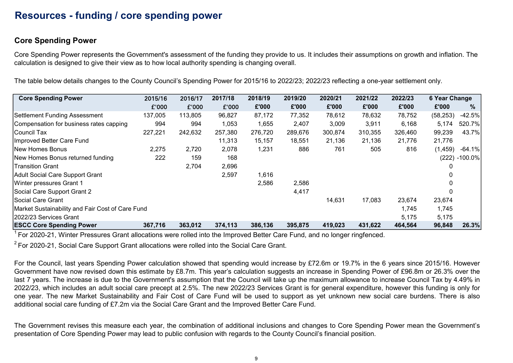### Resources - funding / core spending power

### Core Spending Power

Core Spending Power represents the Government's assessment of the funding they provide to us. It includes their assumptions on growth and inflation. The calculation is designed to give their view as to how local authority spending is changing overall.

The table below details changes to the County Council's Spending Power for 2015/16 to 2022/23; 2022/23 reflecting a one-year settlement only.

| <b>Core Spending Power</b>                       | 2015/16 | 2016/17 | 2017/18 | 2018/19 | 2019/20 | 2020/21 | 2021/22 | 2022/23 | 6 Year Change |               |
|--------------------------------------------------|---------|---------|---------|---------|---------|---------|---------|---------|---------------|---------------|
|                                                  | £'000   | £'000   | £'000   | £'000   | £'000   | £'000   | £'000   | £'000   | £'000         | %             |
| Settlement Funding Assessment                    | 137,005 | 113,805 | 96,827  | 87,172  | 77,352  | 78,612  | 78,632  | 78,752  | (58, 253)     | $-42.5%$      |
| Compensation for business rates capping          | 994     | 994     | 1,053   | 1,655   | 2,407   | 3,009   | 3,911   | 6,168   | 5,174         | 520.7%        |
| lCouncil Tax                                     | 227,221 | 242,632 | 257,380 | 276,720 | 289,676 | 300,874 | 310,355 | 326,460 | 99,239        | 43.7%         |
| Improved Better Care Fund                        |         |         | 11,313  | 15,157  | 18,551  | 21,136  | 21,136  | 21,776  | 21,776        |               |
| New Homes Bonus                                  | 2,275   | 2,720   | 2,078   | 1,231   | 886     | 761     | 505     | 816     | (1, 459)      | $-64.1%$      |
| New Homes Bonus returned funding                 | 222     | 159     | 168     |         |         |         |         |         |               | (222) -100.0% |
| <b>Transition Grant</b>                          |         | 2,704   | 2,696   |         |         |         |         |         |               |               |
| Adult Social Care Support Grant                  |         |         | 2,597   | 1,616   |         |         |         |         | 0             |               |
| Winter pressures Grant 1                         |         |         |         | 2,586   | 2,586   |         |         |         | 0             |               |
| Social Care Support Grant 2                      |         |         |         |         | 4,417   |         |         |         | $\Omega$      |               |
| Social Care Grant                                |         |         |         |         |         | 14,631  | 17,083  | 23,674  | 23,674        |               |
| Market Sustainability and Fair Cost of Care Fund |         |         |         |         |         |         |         | 1,745   | 1,745         |               |
| 2022/23 Services Grant                           |         |         |         |         |         |         |         | 5,175   | 5,175         |               |
| <b>ESCC Core Spending Power</b>                  | 367,716 | 363,012 | 374,113 | 386,136 | 395,875 | 419,023 | 431,622 | 464,564 | 96,848        | 26.3%         |

 $\frac{1}{1}$  For 2020-21. Winter Pressures Grant allocations were rolled into the Improved Better Care Fund, and no longer ringfenced.

 $2^2$  For 2020-21, Social Care Support Grant allocations were rolled into the Social Care Grant.

For the Council, last years Spending Power calculation showed that spending would increase by £72.6m or 19.7% in the 6 years since 2015/16. However Government have now revised down this estimate by £8.7m. This year's calculation suggests an increase in Spending Power of £96.8m or 26.3% over the last 7 years. The increase is due to the Government's assumption that the Council will take up the maximum allowance to increase Council Tax by 4.49% in 2022/23, which includes an adult social care precept at 2.5%. The new 2022/23 Services Grant is for general expenditure, however this funding is only for one year. The new Market Sustainability and Fair Cost of Care Fund will be used to support as yet unknown new social care burdens. There is also additional social care funding of £7.2m via the Social Care Grant and the Improved Better Care Fund.

The Government revises this measure each year, the combination of additional inclusions and changes to Core Spending Power mean the Government's presentation of Core Spending Power may lead to public confusion with regards to the County Council's financial position.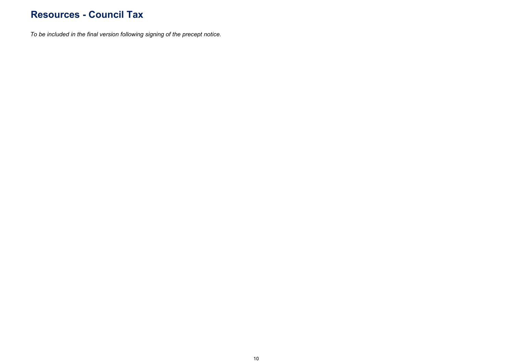### Resources - Council Tax

To be included in the final version following signing of the precept notice.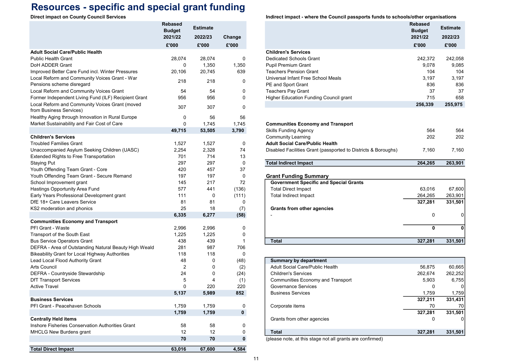## Resources - specific and special grant funding

|                                                                            | <b>Rebased</b><br><b>Budget</b> | <b>Estimate</b> |             |                                                                | <b>Rebased</b><br><b>Budget</b> | <b>Estimate</b> |
|----------------------------------------------------------------------------|---------------------------------|-----------------|-------------|----------------------------------------------------------------|---------------------------------|-----------------|
|                                                                            | 2021/22                         | 2022/23         | Change      |                                                                | 2021/22                         | 2022/23         |
|                                                                            | £'000                           | £'000           | £'000       |                                                                | £'000                           | £'000           |
| <b>Adult Social Care/Public Health</b>                                     |                                 |                 |             | <b>Children's Services</b>                                     |                                 |                 |
| <b>Public Health Grant</b>                                                 | 28,074                          | 28,074          | 0           | <b>Dedicated Schools Grant</b>                                 | 242,372                         | 242,058         |
| DoH ADDER Grant                                                            | 0                               | 1,350           | 1,350       | <b>Pupil Premium Grant</b>                                     | 9,078                           | 9,085           |
| Improved Better Care Fund incl. Winter Pressures                           | 20,106                          | 20,745          | 639         | <b>Teachers Pension Grant</b>                                  | 104                             | 104             |
| Local Reform and Community Voices Grant - War<br>Pensions scheme disregard | 218                             | 218             | 0           | Universal Infant Free School Meals<br>PE and Sport Grant       | 3,197<br>836                    | 3,197<br>836    |
| Local Reform and Community Voices Grant                                    | 54                              | 54              | 0           | <b>Teachers Pay Grant</b>                                      | 37                              | 37              |
| Former Independent Living Fund (ILF) Recipient Grant                       | 956                             | 956             | 0           | Higher Education Funding Council grant                         | 715                             | 658             |
| Local Reform and Community Voices Grant (moved<br>from Business Services)  | 307                             | 307             | $\Omega$    |                                                                | 256,339                         | 255,975         |
| Healthy Aging through Innovation in Rural Europe                           | 0                               | 56              | 56          |                                                                |                                 |                 |
| Market Sustainability and Fair Cost of Care                                | $\mathbf 0$                     | 1,745           | 1,745       | <b>Communities Economy and Transport</b>                       |                                 |                 |
|                                                                            | 49,715                          | 53,505          | 3,790       | <b>Skills Funding Agency</b>                                   | 564                             | 564             |
| <b>Children's Services</b>                                                 |                                 |                 |             | <b>Community Learning</b>                                      | 202                             | 202             |
| <b>Troubled Families Grant</b>                                             | 1,527                           | 1,527           | 0           | <b>Adult Social Care/Public Health</b>                         |                                 |                 |
| Unaccompanied Asylum Seeking Children (UASC)                               | 2,254                           | 2,328           | 74          | Disabled Facilities Grant (passported to Districts & Boroughs) | 7,160                           | 7,160           |
| Extended Rights to Free Transportation                                     | 701                             | 714             | 13          |                                                                |                                 |                 |
| <b>Staying Put</b>                                                         | 297                             | 297             | $\mathbf 0$ | <b>Total Indirect Impact</b>                                   | 264,265                         | 263,901         |
| Youth Offending Team Grant - Core                                          | 420                             | 457             | 37          |                                                                |                                 |                 |
| Youth Offending Team Grant - Secure Remand                                 | 197                             | 197             | 0           | <b>Grant Funding Summary</b>                                   |                                 |                 |
| School Improvement grant                                                   | 145                             | 217             | 72          | <b>Government Specific and Special Grants</b>                  |                                 |                 |
| Hastings Opportunity Area Fund                                             | 577                             | 441             | (136)       | <b>Total Direct Impact</b>                                     | 63,016                          | 67,600          |
| Early Years Professional Development grant                                 | 111                             | 0               | (111)       | <b>Total Indirect Impact</b>                                   | 264,265                         | 263,901         |
| DfE 18+ Care Leavers Service                                               | 81                              | 81              | 0           |                                                                | 327,281                         | 331,501         |
| KS2 moderation and phonics                                                 | 25                              | 18              | (7)         | <b>Grants from other agencies</b>                              |                                 | 0               |
| <b>Communities Economy and Transport</b>                                   | 6,335                           | 6,277           | (58)        |                                                                | 0                               |                 |
| <b>PFI Grant - Waste</b>                                                   | 2,996                           | 2,996           | 0           |                                                                | $\mathbf{0}$                    | 0               |
| Transport of the South East                                                | 1,225                           | 1,225           | 0           |                                                                |                                 |                 |
| <b>Bus Service Operators Grant</b>                                         | 438                             | 439             | -1          | <b>Total</b>                                                   | 327,281                         | 331,501         |
| DEFRA - Area of Outstanding Natural Beauty High Weald                      | 281                             | 987             | 706         |                                                                |                                 |                 |
| Bikeability Grant for Local Highway Authorities                            | 118                             | 118             | 0           |                                                                |                                 |                 |
| Lead Local Flood Authority Grant                                           | 48                              | $\Omega$        | (48)        | <b>Summary by department</b>                                   |                                 |                 |
| <b>Arts Council</b>                                                        | 2                               | $\Omega$        | (2)         | <b>Adult Social Care/Public Health</b>                         | 56,875                          | 60,665          |
| DEFRA - Countryside Stewardship                                            | 24                              | $\mathbf{0}$    | (24)        | <b>Children's Services</b>                                     | 262,674                         | 262,252         |
| <b>DfT Transport Services</b>                                              | 5                               | $\overline{4}$  | (1)         | <b>Communities Economy and Transport</b>                       | 5,903                           | 6,755           |
| <b>Active Travel</b>                                                       | $\Omega$                        | 220             | 220         | <b>Governance Services</b>                                     | 0                               | 0               |
|                                                                            | 5,137                           | 5,989           | 852         | <b>Business Services</b>                                       | 1,759                           | 1,759           |
| <b>Business Services</b>                                                   |                                 |                 |             |                                                                | 327,211                         | 331,431         |
| PFI Grant - Peacehaven Schools                                             | 1,759                           | 1,759           | 0           | Corporate items                                                | 70                              | 70              |
|                                                                            | 1,759                           | 1,759           | $\mathbf 0$ |                                                                | 327,281                         | 331,501         |
| <b>Centrally Held items</b>                                                |                                 |                 |             | Grants from other agencies                                     | 0                               |                 |
| Inshore Fisheries Conservation Authorities Grant                           | 58                              | 58              | 0           |                                                                |                                 |                 |
| MHCLG New Burdens grant                                                    | 12                              | 12              | 0           | <b>Total</b>                                                   | 327,281                         | 331,501         |
|                                                                            | 70                              | 70              | 0           | (please note, at this stage not all grants are confirmed)      |                                 |                 |
| <b>Total Direct Impact</b>                                                 | 63,016                          | 67,600          | 4,584       |                                                                |                                 |                 |

Direct impact on County Council Services **Indirect impact - where the Council passports funds to schools/other organisations** 

|                                     |                            |             | munect impact - where the Council passports funds to schools/other organisations |                                            |  |
|-------------------------------------|----------------------------|-------------|----------------------------------------------------------------------------------|--------------------------------------------|--|
| रebased<br><b>Budget</b><br>2021/22 | <b>Estimate</b><br>2022/23 | Change      |                                                                                  | <b>Rebased</b><br><b>Budget</b><br>2021/22 |  |
| £'000                               | £'000                      | £'000       |                                                                                  | £'000                                      |  |
|                                     |                            |             | <b>Children's Services</b>                                                       |                                            |  |
| 28,074                              | 28,074                     | $\Omega$    | <b>Dedicated Schools Grant</b>                                                   | 242,372                                    |  |
| 0                                   | 1,350                      | 1,350       | <b>Pupil Premium Grant</b>                                                       | 9,078                                      |  |
| 20,106                              | 20,745                     | 639         | <b>Teachers Pension Grant</b>                                                    | 104                                        |  |
|                                     |                            |             | Universal Infant Free School Meals                                               | 3,197                                      |  |
| 218                                 | 218                        | 0           | PE and Sport Grant                                                               | 836                                        |  |
| 54                                  | 54                         | $\mathbf 0$ | Teachers Pay Grant                                                               | 37                                         |  |
| 956                                 | 956                        | 0           | Higher Education Funding Council grant                                           | 715                                        |  |
|                                     |                            |             |                                                                                  | 256,339                                    |  |
| 307                                 | 307                        | $\Omega$    |                                                                                  |                                            |  |
| 0                                   | 56                         | 56          |                                                                                  |                                            |  |
| 0                                   | 1,745                      | 1,745       | <b>Communities Economy and Transport</b>                                         |                                            |  |
| 49,715                              | 53,505                     | 3,790       | <b>Skills Funding Agency</b>                                                     | 564                                        |  |
|                                     |                            |             | <b>Community Learning</b>                                                        | 202                                        |  |
| 1,527                               | 1,527                      | 0           | <b>Adult Social Care/Public Health</b>                                           |                                            |  |
| 2,254                               | 2,328                      | 74          | Disabled Facilities Grant (passported to Districts & Boroughs)                   | 7,160                                      |  |
| 701                                 | 714                        | 13          |                                                                                  |                                            |  |
| 297                                 | 297                        | $\mathbf 0$ | <b>Total Indirect Impact</b>                                                     | 264,265                                    |  |
| 420                                 | 457                        | 37          |                                                                                  |                                            |  |
| 197                                 | 197                        | $\mathbf 0$ | <b>Grant Funding Summary</b>                                                     |                                            |  |
| 145                                 | 217                        | 72          | <b>Government Specific and Special Grants</b>                                    |                                            |  |
| 577                                 | 441                        | (136)       | <b>Total Direct Impact</b>                                                       | 63,016                                     |  |
| 111                                 | 0                          | (111)       | <b>Total Indirect Impact</b>                                                     | 264,265                                    |  |
| 81                                  | 81                         | 0           |                                                                                  | 327,281                                    |  |
| 25                                  | 18                         | (7)         | <b>Grants from other agencies</b>                                                |                                            |  |
| 6,335                               | 6,277                      | (58)        |                                                                                  | 0                                          |  |
|                                     |                            |             |                                                                                  |                                            |  |
| 2,996                               | 2,996                      | 0           |                                                                                  | 0                                          |  |
| 1,225                               | 1,225                      | 0           |                                                                                  |                                            |  |
| 438                                 | 439                        | $\mathbf 1$ | <b>Total</b>                                                                     | 327,281                                    |  |
| 281                                 | 987                        | 706         |                                                                                  |                                            |  |
| 118<br>48                           | 118                        | 0           |                                                                                  |                                            |  |
| $\overline{2}$                      | 0<br>0                     | (48)        | <b>Summary by department</b><br><b>Adult Social Care/Public Health</b>           | 56.875                                     |  |
| 24                                  | 0                          | (2)<br>(24) | <b>Children's Services</b>                                                       | 262,674                                    |  |
| 5                                   | 4                          | (1)         | <b>Communities Economy and Transport</b>                                         | 5,903                                      |  |
|                                     |                            |             |                                                                                  |                                            |  |

| 5     | 4     | (1) | Communities Economy and Transport | 5,903   | 6,755   |
|-------|-------|-----|-----------------------------------|---------|---------|
| 0     | 220   | 220 | Governance Services               |         |         |
| 5.137 | 5,989 | 852 | <b>Business Services</b>          | 1.759   | 1,759   |
|       |       |     |                                   | 327.211 | 331,431 |
| 1,759 | 1.759 | 0   | Corporate items                   | 70      | 70      |
| 1,759 | 1,759 |     |                                   | 327.281 | 331,501 |
|       |       |     | Grants from other agencies        |         |         |
| 58    | 58    | 0   |                                   |         |         |
| 12    | 12    |     | <b>Total</b>                      | 327.281 | 331,501 |
| --    |       |     | .<br>$-$<br>.<br>$\sim$           |         |         |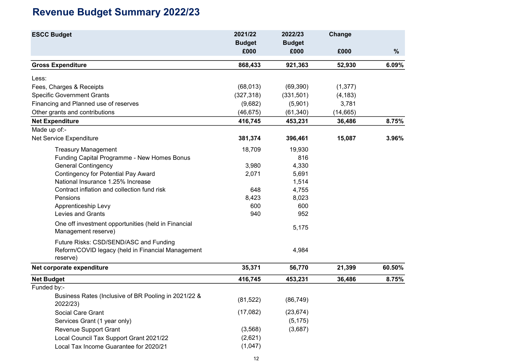# Revenue Budget Summary 2022/23

| <b>ESCC Budget</b>                                                         | 2021/22       | 2022/23       | Change    |        |
|----------------------------------------------------------------------------|---------------|---------------|-----------|--------|
|                                                                            | <b>Budget</b> | <b>Budget</b> |           |        |
|                                                                            | £000          | £000          | £000      | $\%$   |
| <b>Gross Expenditure</b>                                                   | 868,433       | 921,363       | 52,930    | 6.09%  |
| Less:                                                                      |               |               |           |        |
| Fees, Charges & Receipts                                                   | (68, 013)     | (69, 390)     | (1, 377)  |        |
| <b>Specific Government Grants</b>                                          | (327, 318)    | (331, 501)    | (4, 183)  |        |
| Financing and Planned use of reserves                                      | (9,682)       | (5,901)       | 3,781     |        |
| Other grants and contributions                                             | (46, 675)     | (61, 340)     | (14, 665) |        |
| <b>Net Expenditure</b>                                                     | 416,745       | 453,231       | 36,486    | 8.75%  |
| Made up of:-                                                               |               |               |           |        |
| Net Service Expenditure                                                    | 381,374       | 396,461       | 15,087    | 3.96%  |
| <b>Treasury Management</b>                                                 | 18,709        | 19,930        |           |        |
| Funding Capital Programme - New Homes Bonus                                |               | 816           |           |        |
| <b>General Contingency</b>                                                 | 3,980         | 4,330         |           |        |
| <b>Contingency for Potential Pay Award</b>                                 | 2,071         | 5,691         |           |        |
| National Insurance 1.25% Increase                                          |               | 1,514         |           |        |
| Contract inflation and collection fund risk                                | 648           | 4,755         |           |        |
| Pensions                                                                   | 8,423         | 8,023         |           |        |
| Apprenticeship Levy                                                        | 600           | 600           |           |        |
| Levies and Grants                                                          | 940           | 952           |           |        |
| One off investment opportunities (held in Financial<br>Management reserve) |               | 5,175         |           |        |
| Future Risks: CSD/SEND/ASC and Funding                                     |               |               |           |        |
| Reform/COVID legacy (held in Financial Management<br>reserve)              |               | 4,984         |           |        |
| Net corporate expenditure                                                  | 35,371        | 56,770        | 21,399    | 60.50% |
| <b>Net Budget</b>                                                          | 416,745       | 453,231       | 36,486    | 8.75%  |
| Funded by:-                                                                |               |               |           |        |
| Business Rates (Inclusive of BR Pooling in 2021/22 &<br>2022/23)           | (81, 522)     | (86, 749)     |           |        |
| Social Care Grant                                                          | (17,082)      | (23, 674)     |           |        |
| Services Grant (1 year only)                                               |               | (5, 175)      |           |        |
| <b>Revenue Support Grant</b>                                               | (3, 568)      | (3,687)       |           |        |
| Local Council Tax Support Grant 2021/22                                    | (2,621)       |               |           |        |
| Local Tax Income Guarantee for 2020/21                                     | (1,047)       |               |           |        |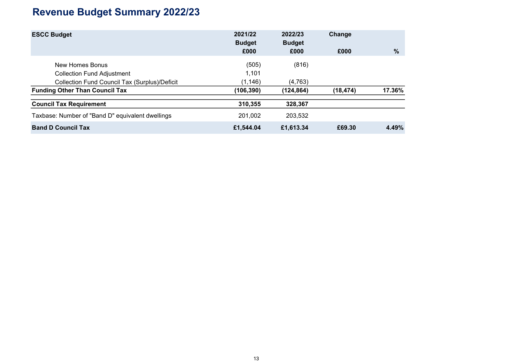# Revenue Budget Summary 2022/23

| <b>ESCC Budget</b>                               | 2021/22<br><b>Budget</b> | 2022/23<br><b>Budget</b> | Change    |        |  |
|--------------------------------------------------|--------------------------|--------------------------|-----------|--------|--|
|                                                  | £000                     | £000                     | £000      | $\%$   |  |
| New Homes Bonus                                  | (505)                    | (816)                    |           |        |  |
| <b>Collection Fund Adjustment</b>                | 1,101                    |                          |           |        |  |
| Collection Fund Council Tax (Surplus)/Deficit    | (1, 146)                 | (4, 763)                 |           |        |  |
| <b>Funding Other Than Council Tax</b>            | (106, 390)               | (124, 864)               | (18, 474) | 17.36% |  |
| <b>Council Tax Requirement</b>                   | 310,355                  | 328,367                  |           |        |  |
| Taxbase: Number of "Band D" equivalent dwellings | 201,002                  | 203,532                  |           |        |  |
| <b>Band D Council Tax</b>                        | £1,544.04                | £1,613.34                | £69.30    | 4.49%  |  |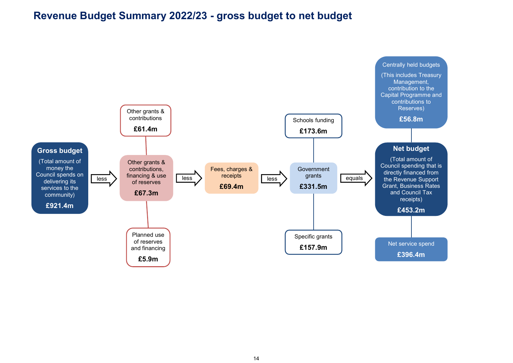## Revenue Budget Summary 2022/23 - gross budget to net budget

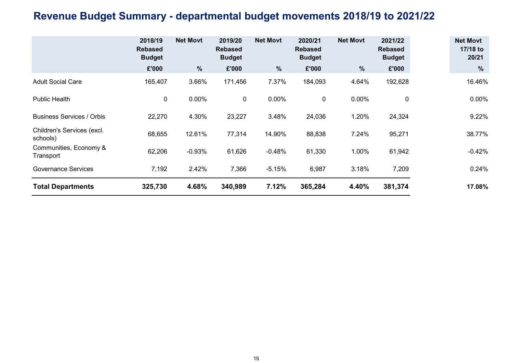## Revenue Budget Summary - departmental budget movements 2018/19 to 2021/22

|                                        | 2018/19<br><b>Rebased</b><br><b>Budget</b> | <b>Net Movt</b> | 2019/20<br><b>Rebased</b><br><b>Budget</b> | <b>Net Movt</b> | 2020/21<br><b>Rebased</b><br><b>Budget</b> | <b>Net Movt</b> | 2021/22<br><b>Rebased</b><br><b>Budget</b> | <b>Net Movt</b><br>17/18 to<br>20/21 |
|----------------------------------------|--------------------------------------------|-----------------|--------------------------------------------|-----------------|--------------------------------------------|-----------------|--------------------------------------------|--------------------------------------|
|                                        | £'000                                      | $\frac{9}{6}$   | £'000                                      | $\%$            | £'000                                      | $\frac{9}{6}$   | £'000                                      | $\%$                                 |
| <b>Adult Social Care</b>               | 165,407                                    | 3.66%           | 171,456                                    | 7.37%           | 184,093                                    | 4.64%           | 192,628                                    | 16.46%                               |
| <b>Public Health</b>                   | $\mathbf 0$                                | 0.00%           | $\mathbf{0}$                               | 0.00%           | 0                                          | $0.00\%$        | 0                                          | $0.00\%$                             |
| <b>Business Services / Orbis</b>       | 22,270                                     | 4.30%           | 23,227                                     | 3.48%           | 24,036                                     | 1.20%           | 24,324                                     | 9.22%                                |
| Children's Services (excl.<br>schools) | 68,655                                     | 12.61%          | 77,314                                     | 14.90%          | 88,838                                     | 7.24%           | 95,271                                     | 38.77%                               |
| Communities, Economy &<br>Transport    | 62,206                                     | $-0.93%$        | 61,626                                     | $-0.48%$        | 61,330                                     | 1.00%           | 61,942                                     | $-0.42%$                             |
| <b>Governance Services</b>             | 7,192                                      | 2.42%           | 7,366                                      | $-5.15%$        | 6,987                                      | 3.18%           | 7,209                                      | 0.24%                                |
| <b>Total Departments</b>               | 325,730                                    | 4.68%           | 340,989                                    | 7.12%           | 365,284                                    | 4.40%           | 381,374                                    | 17.08%                               |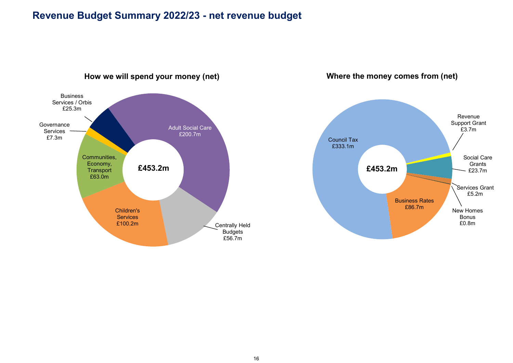### Revenue Budget Summary 2022/23 - net revenue budget



How we will spend your money (net)

Where the money comes from (net)

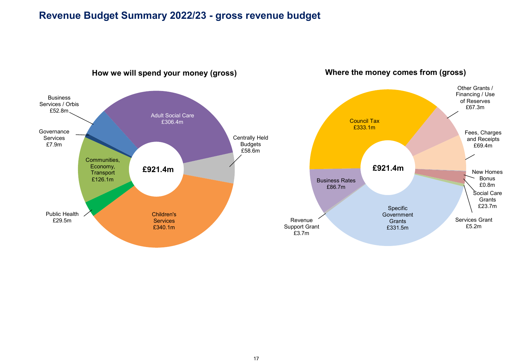### Revenue Budget Summary 2022/23 - gross revenue budget



#### 17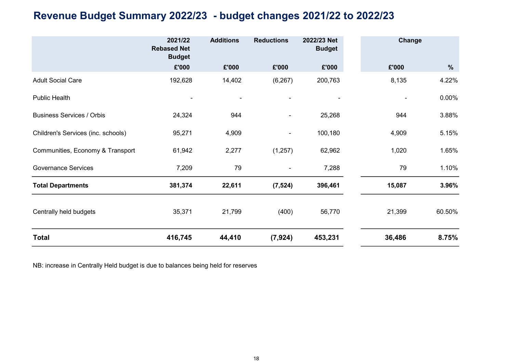## Revenue Budget Summary 2022/23 - budget changes 2021/22 to 2022/23

|                                    | 2021/22<br><b>Rebased Net</b><br><b>Budget</b> | <b>Additions</b>         | <b>Reductions</b>        | 2022/23 Net<br><b>Budget</b> | Change |          |
|------------------------------------|------------------------------------------------|--------------------------|--------------------------|------------------------------|--------|----------|
|                                    | £'000                                          | £'000                    | £'000                    | £'000                        | £'000  | $\%$     |
| <b>Adult Social Care</b>           | 192,628                                        | 14,402                   | (6, 267)                 | 200,763                      | 8,135  | 4.22%    |
| <b>Public Health</b>               |                                                | $\overline{\phantom{a}}$ |                          |                              |        | $0.00\%$ |
| <b>Business Services / Orbis</b>   | 24,324                                         | 944                      | $\overline{\phantom{a}}$ | 25,268                       | 944    | 3.88%    |
| Children's Services (inc. schools) | 95,271                                         | 4,909                    |                          | 100,180                      | 4,909  | 5.15%    |
| Communities, Economy & Transport   | 61,942                                         | 2,277                    | (1,257)                  | 62,962                       | 1,020  | 1.65%    |
| <b>Governance Services</b>         | 7,209                                          | 79                       |                          | 7,288                        | 79     | 1.10%    |
| <b>Total Departments</b>           | 381,374                                        | 22,611                   | (7, 524)                 | 396,461                      | 15,087 | 3.96%    |
| Centrally held budgets             | 35,371                                         | 21,799                   | (400)                    | 56,770                       | 21,399 | 60.50%   |
| <b>Total</b>                       | 416,745                                        | 44,410                   | (7, 924)                 | 453,231                      | 36,486 | 8.75%    |

NB: increase in Centrally Held budget is due to balances being held for reserves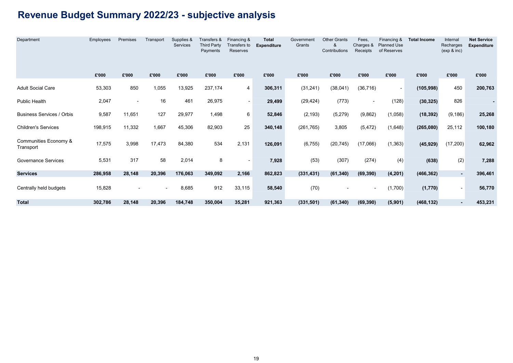# Revenue Budget Summary 2022/23 - subjective analysis

| Department                         | Employees | Premises       | Transport                | Supplies &<br>Services | Transfers &<br><b>Third Party</b><br>Payments | Financing &<br>Transfers to<br>Reserves | <b>Total</b><br><b>Expenditure</b> | Government<br>Grants | <b>Other Grants</b><br>&<br>Contributions | Fees.<br>Charges &<br>Receipts | Financing &<br><b>Planned Use</b><br>of Reserves | <b>Total Income</b> | Internal<br>Recharges<br>(exp 8 inc) | <b>Net Service</b><br><b>Expenditure</b> |
|------------------------------------|-----------|----------------|--------------------------|------------------------|-----------------------------------------------|-----------------------------------------|------------------------------------|----------------------|-------------------------------------------|--------------------------------|--------------------------------------------------|---------------------|--------------------------------------|------------------------------------------|
|                                    | £'000     | £'000          | £'000                    | £'000                  | £'000                                         | £'000                                   | £'000                              | £'000                | £'000                                     | £'000                          | £'000                                            | £'000               | £'000                                | £'000                                    |
| <b>Adult Social Care</b>           | 53,303    | 850            | 1,055                    | 13,925                 | 237,174                                       | $\overline{4}$                          | 306,311                            | (31, 241)            | (38,041)                                  | (36, 716)                      | $\overline{\phantom{a}}$                         | (105, 998)          | 450                                  | 200,763                                  |
| Public Health                      | 2,047     | $\blacksquare$ | 16                       | 461                    | 26,975                                        | $\sim$                                  | 29,499                             | (29, 424)            | (773)                                     | $\overline{\phantom{a}}$       | (128)                                            | (30, 325)           | 826                                  |                                          |
| <b>Business Services / Orbis</b>   | 9,587     | 11,651         | 127                      | 29,977                 | 1,498                                         | 6                                       | 52,846                             | (2, 193)             | (5,279)                                   | (9,862)                        | (1,058)                                          | (18, 392)           | (9, 186)                             | 25,268                                   |
| <b>Children's Services</b>         | 198,915   | 11,332         | 1,667                    | 45,306                 | 82,903                                        | 25                                      | 340,148                            | (261, 765)           | 3,805                                     | (5, 472)                       | (1,648)                                          | (265,080)           | 25,112                               | 100,180                                  |
| Communities Economy &<br>Transport | 17,575    | 3,998          | 17,473                   | 84,380                 | 534                                           | 2,131                                   | 126,091                            | (6, 755)             | (20, 745)                                 | (17,066)                       | (1, 363)                                         | (45, 929)           | (17, 200)                            | 62,962                                   |
| <b>Governance Services</b>         | 5,531     | 317            | 58                       | 2,014                  | 8                                             | $\overline{\phantom{a}}$                | 7,928                              | (53)                 | (307)                                     | (274)                          | (4)                                              | (638)               | (2)                                  | 7,288                                    |
| <b>Services</b>                    | 286,958   | 28,148         | 20,396                   | 176,063                | 349,092                                       | 2,166                                   | 862,823                            | (331, 431)           | (61, 340)                                 | (69, 390)                      | (4, 201)                                         | (466, 362)          | $\blacksquare$                       | 396,461                                  |
| Centrally held budgets             | 15,828    |                | $\overline{\phantom{a}}$ | 8,685                  | 912                                           | 33,115                                  | 58,540                             | (70)                 |                                           |                                | (1,700)                                          | (1,770)             | $\blacksquare$                       | 56,770                                   |
| <b>Total</b>                       | 302,786   | 28,148         | 20,396                   | 184,748                | 350,004                                       | 35,281                                  | 921,363                            | (331, 501)           | (61, 340)                                 | (69, 390)                      | (5,901)                                          | (468, 132)          | $\blacksquare$                       | 453,231                                  |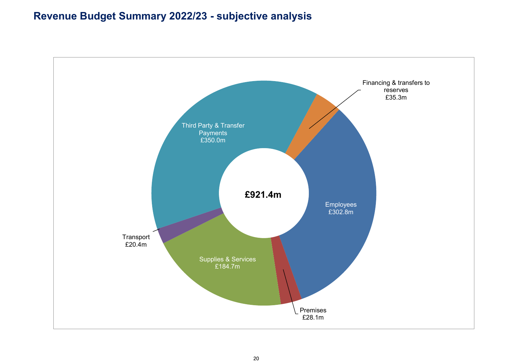## Revenue Budget Summary 2022/23 - subjective analysis

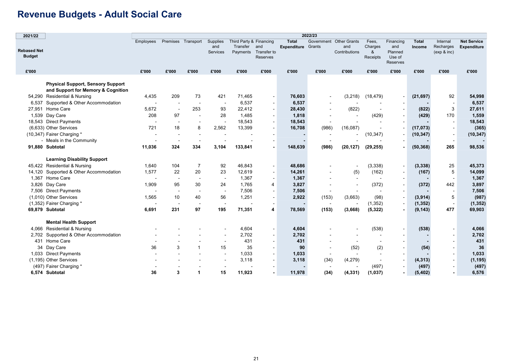## Revenue Budgets - Adult Social Care

| 2021/22                             |                                                                                |                          |                                 |                                 |                             |                                     |                                                |                                    | 2022/23              |                                             |                                   |                                                   |                        |                                      |                                          |
|-------------------------------------|--------------------------------------------------------------------------------|--------------------------|---------------------------------|---------------------------------|-----------------------------|-------------------------------------|------------------------------------------------|------------------------------------|----------------------|---------------------------------------------|-----------------------------------|---------------------------------------------------|------------------------|--------------------------------------|------------------------------------------|
| <b>Rebased Net</b><br><b>Budget</b> |                                                                                | Employees                |                                 | Premises Transport              | Supplies<br>and<br>Services | Third Party & Financing<br>Transfer | and<br>Payments Transfer to<br><b>Reserves</b> | <b>Total</b><br><b>Expenditure</b> | Government<br>Grants | <b>Other Grants</b><br>and<br>Contributions | Fees,<br>Charges<br>&<br>Receipts | Financing<br>and<br>Planned<br>Use of<br>Reserves | <b>Total</b><br>Income | Internal<br>Recharges<br>(exp 8 inc) | <b>Net Service</b><br><b>Expenditure</b> |
| £'000                               |                                                                                | £'000                    | £'000                           | £'000                           | £'000                       | £'000                               | £'000                                          | £'000                              | £'000                | £'000                                       | £'000                             | £'000                                             | £'000                  | £'000                                | £'000                                    |
|                                     | <b>Physical Support, Sensory Support</b><br>and Support for Memory & Cognition |                          |                                 |                                 |                             |                                     |                                                |                                    |                      |                                             |                                   |                                                   |                        |                                      |                                          |
|                                     | 54,290 Residential & Nursing                                                   | 4,435                    | 209                             | 73                              | 421                         | 71,465                              | $\overline{\phantom{a}}$                       | 76,603                             |                      | (3, 218)                                    | (18, 479)                         | $\overline{\phantom{a}}$                          | (21, 697)              | 92                                   | 54,998                                   |
| 6,537                               | Supported & Other Accommodation                                                | $\overline{\phantom{a}}$ |                                 | $\sim$                          | $\overline{\phantom{a}}$    | 6,537                               | $\sim$                                         | 6,537                              |                      |                                             |                                   |                                                   |                        |                                      | 6,537                                    |
|                                     | 27,951 Home Care                                                               | 5,672                    | $\blacksquare$                  | 253                             | 93                          | 22,412                              | $\blacksquare$                                 | 28,430                             |                      | (822)                                       |                                   |                                                   | (822)                  | 3                                    | 27,611                                   |
|                                     | 1,539 Day Care                                                                 | 208                      | 97                              |                                 | 28                          | 1,485                               | $\overline{\phantom{a}}$                       | 1,818                              |                      | $\blacksquare$                              | (429)                             |                                                   | (429)                  | 170                                  | 1,559                                    |
|                                     | 18,543 Direct Payments                                                         |                          | $\blacksquare$                  |                                 | $\blacksquare$              | 18,543                              | $\blacksquare$                                 | 18,543                             |                      |                                             |                                   |                                                   |                        |                                      | 18,543                                   |
|                                     | (6,633) Other Services                                                         | 721                      | 18                              | 8                               | 2,562                       | 13,399                              | $\sim$                                         | 16,708                             | (986)                | (16,087)                                    |                                   |                                                   | (17, 073)              |                                      | (365)                                    |
|                                     | (10,347) Fairer Charging *<br>- Meals in the Community                         |                          |                                 |                                 |                             |                                     |                                                |                                    |                      |                                             | (10, 347)                         |                                                   | (10, 347)              |                                      | (10, 347)                                |
|                                     | 91,880 Subtotal                                                                | 11,036                   | $\overline{\phantom{a}}$<br>324 | $\overline{\phantom{a}}$<br>334 | 3,104                       | 133,841                             |                                                | 148,639                            |                      |                                             |                                   |                                                   | (50, 368)              | 265                                  | 98,536                                   |
|                                     |                                                                                |                          |                                 |                                 |                             |                                     |                                                |                                    | (986)                | (20, 127)                                   | (29, 255)                         |                                                   |                        |                                      |                                          |
|                                     | <b>Learning Disability Support</b>                                             |                          |                                 |                                 |                             |                                     |                                                |                                    |                      |                                             |                                   |                                                   |                        |                                      |                                          |
|                                     | 45,422 Residential & Nursing                                                   | 1,640                    | 104                             | $\overline{7}$                  | 92                          | 46,843                              | $\blacksquare$                                 | 48,686                             |                      | $\overline{\phantom{a}}$                    | (3, 338)                          | $\sim$                                            | (3, 338)               | 25                                   | 45,373                                   |
|                                     | 14,120 Supported & Other Accommodation                                         | 1,577                    | 22                              | 20                              | 23                          | 12,619                              | $\blacksquare$                                 | 14,261                             |                      | (5)                                         | (162)                             |                                                   | (167)                  | 5                                    | 14,099                                   |
|                                     | 1,367 Home Care                                                                |                          |                                 | $\overline{\phantom{a}}$        | $\overline{\phantom{a}}$    | 1,367                               | $\blacksquare$                                 | 1,367                              |                      | $\sim$                                      |                                   |                                                   |                        |                                      | 1,367                                    |
|                                     | 3,826 Day Care                                                                 | 1,909                    | 95                              | 30                              | 24                          | 1,765                               | 4                                              | 3,827                              |                      | $\overline{\phantom{a}}$                    | (372)                             | $\overline{\phantom{a}}$                          | (372)                  | 442                                  | 3,897                                    |
|                                     | 7,506 Direct Payments                                                          |                          |                                 |                                 |                             | 7,506                               | $\blacksquare$                                 | 7,506                              |                      |                                             |                                   |                                                   |                        |                                      | 7,506                                    |
|                                     | (1,010) Other Services                                                         | 1,565                    | 10                              | 40                              | 56                          | 1,251                               | $\overline{\phantom{a}}$                       | 2,922                              | (153)                | (3,663)                                     | (98)                              | $\sim$                                            | (3,914)                | 5                                    | (987)                                    |
|                                     | (1,352) Fairer Charging *                                                      |                          |                                 |                                 | $\overline{\phantom{a}}$    |                                     |                                                |                                    |                      |                                             | (1, 352)                          |                                                   | (1, 352)               | $\overline{\phantom{a}}$             | (1, 352)                                 |
|                                     | 69,879 Subtotal                                                                | 6,691                    | 231                             | 97                              | 195                         | 71,351                              | 4                                              | 78,569                             | (153)                | (3,668)                                     | (5, 322)                          |                                                   | (9, 143)               | 477                                  | 69,903                                   |
|                                     | <b>Mental Health Support</b>                                                   |                          |                                 |                                 |                             |                                     |                                                |                                    |                      |                                             |                                   |                                                   |                        |                                      |                                          |
|                                     | 4,066 Residential & Nursing                                                    |                          |                                 |                                 |                             | 4,604                               | $\blacksquare$                                 | 4,604                              |                      |                                             | (538)                             | $\overline{\phantom{a}}$                          | (538)                  |                                      | 4,066                                    |
| 2,702                               | Supported & Other Accommodation                                                |                          |                                 |                                 |                             | 2,702                               | $\blacksquare$                                 | 2,702                              |                      |                                             |                                   |                                                   |                        |                                      | 2,702                                    |
|                                     | 431 Home Care                                                                  |                          |                                 |                                 |                             | 431                                 |                                                | 431                                |                      |                                             |                                   |                                                   |                        |                                      | 431                                      |
|                                     | 34 Day Care                                                                    | 36                       | 3                               | $\overline{1}$                  | 15                          | 35                                  | $\overline{\phantom{a}}$                       | 90                                 |                      | (52)                                        | $\overline{a}$<br>(2)             |                                                   | (54)                   |                                      | 36                                       |
|                                     | 1,033 Direct Payments                                                          |                          |                                 |                                 |                             | 1,033                               |                                                | 1,033                              |                      |                                             |                                   |                                                   |                        |                                      | 1,033                                    |
|                                     | (1,195) Other Services                                                         |                          |                                 |                                 |                             | 3,118                               |                                                | 3,118                              | (34)                 | (4, 279)                                    |                                   | $\sim$                                            | (4, 313)               |                                      | (1, 195)                                 |
|                                     | (497) Fairer Charging *                                                        |                          |                                 |                                 |                             |                                     |                                                |                                    |                      |                                             | (497)                             |                                                   | (497)                  |                                      | (497)                                    |
|                                     | 6,574 Subtotal                                                                 | 36                       | 3                               | $\blacktriangleleft$            | 15                          | 11,923                              |                                                | 11,978                             | (34)                 | (4, 331)                                    | (1,037)                           |                                                   | (5, 402)               | $\blacksquare$                       | 6,576                                    |
|                                     |                                                                                |                          |                                 |                                 |                             |                                     |                                                |                                    |                      |                                             |                                   |                                                   |                        |                                      |                                          |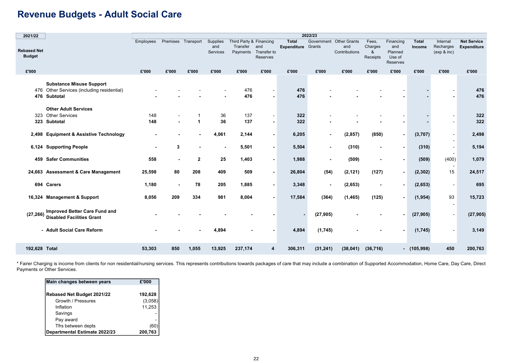## Revenue Budgets - Adult Social Care

| 2021/22                             |                                                                                                  |           |                |              |                             |                                                 |                                |                             | 2022/23              |                                             |                                   |                                                   |                        |                                      |                                   |
|-------------------------------------|--------------------------------------------------------------------------------------------------|-----------|----------------|--------------|-----------------------------|-------------------------------------------------|--------------------------------|-----------------------------|----------------------|---------------------------------------------|-----------------------------------|---------------------------------------------------|------------------------|--------------------------------------|-----------------------------------|
| <b>Rebased Net</b><br><b>Budget</b> |                                                                                                  | Employees | Premises       | Transport    | Supplies<br>and<br>Services | Third Party & Financing<br>Transfer<br>Payments | and<br>Transfer to<br>Reserves | <b>Total</b><br>Expenditure | Government<br>Grants | <b>Other Grants</b><br>and<br>Contributions | Fees,<br>Charges<br>&<br>Receipts | Financing<br>and<br>Planned<br>Use of<br>Reserves | <b>Total</b><br>Income | Internal<br>Recharges<br>(exp & inc) | <b>Net Service</b><br>Expenditure |
| £'000                               |                                                                                                  | £'000     | £'000          | £'000        | £'000                       | £'000                                           | £'000                          | £'000                       | £'000                | £'000                                       | £'000                             | £'000                                             | £'000                  | £'000                                | £'000                             |
| 476                                 | <b>Substance Misuse Support</b><br>476 Other Services (including residential)<br><b>Subtotal</b> |           |                |              |                             | 476<br>476                                      |                                | 476<br>476                  |                      |                                             |                                   |                                                   |                        |                                      | 476<br>476                        |
|                                     | <b>Other Adult Services</b><br>323 Other Services                                                | 148       |                |              |                             | 137                                             |                                | 322                         |                      |                                             |                                   |                                                   |                        |                                      |                                   |
|                                     | 323 Subtotal                                                                                     | 148       |                | 1            | 36<br>36                    | 137                                             |                                | 322                         |                      |                                             |                                   |                                                   |                        |                                      | 322<br>322                        |
|                                     |                                                                                                  |           |                |              |                             |                                                 |                                |                             |                      |                                             |                                   |                                                   |                        |                                      |                                   |
|                                     | 2,498 Equipment & Assistive Technology                                                           |           |                |              | 4,061                       | 2,144                                           | $\blacksquare$                 | 6,205                       |                      | (2, 857)                                    | (850)                             | $\blacksquare$                                    | (3,707)                |                                      | 2,498                             |
|                                     | 6,124 Supporting People                                                                          | ٠.        | 3              |              | $\overline{\phantom{0}}$    | 5,501                                           | $\blacksquare$                 | 5,504                       | $\blacksquare$       | (310)                                       | $\blacksquare$                    | $\overline{\phantom{a}}$                          | (310)                  |                                      | 5,194                             |
|                                     | <b>459 Safer Communities</b>                                                                     | 558       | ٠              | $\mathbf{2}$ | 25                          | 1,403                                           | $\blacksquare$                 | 1,988                       | $\blacksquare$       | (509)                                       |                                   |                                                   | (509)                  | (400)                                | 1,079                             |
|                                     | 24,663 Assessment & Care Management                                                              | 25,598    | 80             | 208          | 409                         | 509                                             |                                | 26,804                      | (54)                 | (2, 121)                                    | (127)                             | $\overline{\phantom{a}}$                          | (2, 302)               | 15                                   | 24,517                            |
|                                     | 694 Carers                                                                                       | 1,180     | $\blacksquare$ | 78           | 205                         | 1,885                                           | $\blacksquare$                 | 3,348                       |                      | (2,653)                                     |                                   | $\overline{\phantom{a}}$                          | (2,653)                | $\sim$                               | 695                               |
|                                     | 16,324 Management & Support                                                                      | 8,056     | 209            | 334          | 981                         | 8,004                                           |                                | 17,584                      | (364)                | (1, 465)                                    | (125)                             |                                                   | (1, 954)               | 93<br>$\overline{\phantom{a}}$       | 15,723                            |
| (27, 266)                           | <b>Improved Better Care Fund and</b><br><b>Disabled Facilities Grant</b>                         |           |                |              |                             |                                                 |                                |                             | (27, 905)            |                                             |                                   |                                                   | (27, 905)              | $\overline{\phantom{a}}$             | (27, 905)                         |
|                                     | - Adult Social Care Reform                                                                       |           |                |              | 4.894                       |                                                 |                                | 4,894                       | (1,745)              |                                             |                                   |                                                   | (1,745)                |                                      | 3,149                             |
| 192,628 Total                       |                                                                                                  | 53,303    | 850            | 1,055        | 13,925                      | 237,174                                         | 4                              | 306,311                     | (31, 241)            | (38, 041)                                   | (36, 716)                         |                                                   | $-$ (105,998)          | 450                                  | 200,763                           |

\* Fairer Charging is income from clients for non residential/nursing services. This represents contributions towards packages of care that may include a combination of Supported Accommodation, Home Care, Day Care, Direct Payments or Other Services.

| Main changes between years    | £'000   |
|-------------------------------|---------|
|                               |         |
| Rebased Net Budget 2021/22    | 192,628 |
| Growth / Pressures            | (3,058) |
| Inflation                     | 11,253  |
| Savings                       |         |
| Pay award                     |         |
| Tfrs between depts            | (60     |
| Departmental Estimate 2022/23 | 200,763 |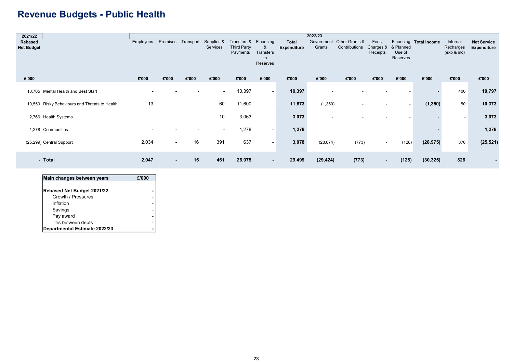## Revenue Budgets - Public Health

| 2021/22        |                                               |           |                          |                          |                          |                         |                                  |                    | 2022/23                  |                |                                 |                          |                        |                          |                    |
|----------------|-----------------------------------------------|-----------|--------------------------|--------------------------|--------------------------|-------------------------|----------------------------------|--------------------|--------------------------|----------------|---------------------------------|--------------------------|------------------------|--------------------------|--------------------|
| <b>Rebased</b> |                                               | Employees | Premises                 | Transport                | Supplies &               | Transfers &             | Financing                        | <b>Total</b>       | Government               | Other Grants & | Fees,                           |                          | Financing Total Income | Internal                 | <b>Net Service</b> |
| Net Budget     |                                               |           |                          |                          | Services                 | Third Party<br>Payments | &<br>Transfers<br>to<br>Reserves | <b>Expenditure</b> | Grants                   | Contributions  | Charges & & Planned<br>Receipts | Use of<br>Reserves       |                        | Recharges<br>(exp & inc) | <b>Expenditure</b> |
| £'000          |                                               | £'000     | £'000                    | £'000                    | £'000                    | £'000                   | £'000                            | £'000              | £'000                    | £'000          | £'000                           | £'000                    | £'000                  | £'000                    | £'000              |
|                |                                               |           |                          |                          |                          |                         |                                  |                    |                          |                |                                 |                          |                        |                          |                    |
|                | 10,705 Mental Health and Best Start           |           |                          |                          | $\overline{\phantom{a}}$ | 10,397                  | $\sim$                           | 10,397             | $\overline{\phantom{a}}$ |                |                                 |                          |                        | 400                      | 10,797             |
|                | 10,550 Risky Behaviours and Threats to Health | 13        | $\sim$                   | $\overline{\phantom{a}}$ | 60                       | 11,600                  | $\sim$                           | 11,673             | (1,350)                  |                |                                 | $\overline{\phantom{a}}$ | (1, 350)               | 50                       | 10,373             |
|                | 2,766 Health Systems                          |           |                          | $\overline{\phantom{0}}$ | 10                       | 3,063                   | $\blacksquare$                   | 3,073              | $\overline{\phantom{a}}$ |                |                                 |                          |                        | $\overline{\phantom{a}}$ | 3,073              |
|                | 1,278 Communities                             |           |                          |                          | $\overline{\phantom{0}}$ | 1,278                   | $\overline{\phantom{a}}$         | 1,278              | $\overline{\phantom{0}}$ |                |                                 |                          |                        |                          | 1,278              |
|                | (25,299) Central Support                      | 2,034     | $\sim$                   | 16                       | 391                      | 637                     | $\blacksquare$                   | 3,078              | (28,074)                 | (773)          | $\sim$                          | (128)                    | (28, 975)              | 376                      | (25, 521)          |
|                | - Total                                       | 2,047     | $\overline{\phantom{a}}$ | 16                       | 461                      | 26,975                  | ٠                                | 29,499             | (29, 424)                | (773)          | $\sim$                          | (128)                    | (30, 325)              | 826                      |                    |

| Main changes between years        | £'000 |
|-----------------------------------|-------|
|                                   |       |
| <b>Rebased Net Budget 2021/22</b> |       |
| Growth / Pressures                |       |
| Inflation                         |       |
| Savings                           |       |
| Pay award                         |       |
| Tfrs between depts                |       |
| Departmental Estimate 2022/23     |       |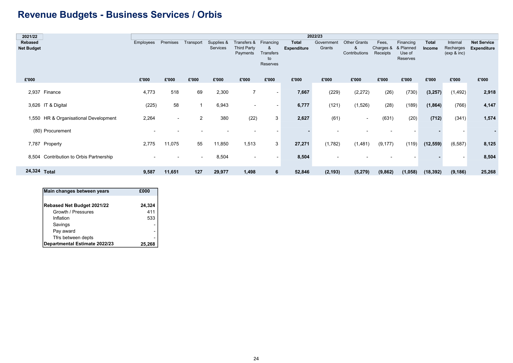## Revenue Budgets - Business Services / Orbis

| 2021/22           |                                         |                          |                          |                |            |                          |                          |                    | 2022/23    |                     |           |           |              |                          |                          |
|-------------------|-----------------------------------------|--------------------------|--------------------------|----------------|------------|--------------------------|--------------------------|--------------------|------------|---------------------|-----------|-----------|--------------|--------------------------|--------------------------|
| Rebased           |                                         | Employees                | Premises                 | Transport      | Supplies & | Transfers & Financing    |                          | <b>Total</b>       | Government | <b>Other Grants</b> | Fees,     | Financing | <b>Total</b> | Internal                 | <b>Net Service</b>       |
| <b>Net Budget</b> |                                         |                          |                          |                | Services   | <b>Third Party</b>       | &                        | <b>Expenditure</b> | Grants     | &                   | Charges & | & Planned | Income       | Recharges                | <b>Expenditure</b>       |
|                   |                                         |                          |                          |                |            | Payments                 | Transfers                |                    |            | Contributions       | Receipts  | Use of    |              | (exp & inc)              |                          |
|                   |                                         |                          |                          |                |            |                          | to                       |                    |            |                     |           | Reserves  |              |                          |                          |
|                   |                                         |                          |                          |                |            |                          | Reserves                 |                    |            |                     |           |           |              |                          |                          |
|                   |                                         |                          |                          |                |            |                          |                          |                    |            |                     |           |           |              |                          |                          |
| £'000             |                                         | £'000                    | £'000                    | £'000          | £'000      | £'000                    | £'000                    | £'000              | £'000      | £'000               | £'000     | £'000     | £'000        | £'000                    | £'000                    |
|                   |                                         |                          |                          |                |            |                          |                          |                    |            |                     |           |           |              |                          |                          |
|                   | 2,937 Finance                           | 4,773                    | 518                      | 69             | 2,300      | 7                        | $\overline{\phantom{a}}$ | 7,667              | (229)      | (2, 272)            | (26)      | (730)     | (3, 257)     | (1, 492)                 | 2,918                    |
|                   |                                         |                          |                          |                |            |                          |                          |                    |            |                     |           |           |              |                          |                          |
|                   | 3,626 IT & Digital                      | (225)                    | 58                       | $\overline{1}$ | 6,943      | $\overline{\phantom{0}}$ | $\sim$                   | 6,777              | (121)      | (1,526)             | (28)      | (189)     | (1, 864)     | (766)                    | 4,147                    |
|                   |                                         |                          |                          |                |            |                          |                          |                    |            |                     |           |           |              |                          |                          |
|                   | 1,550 HR & Organisational Development   | 2,264                    | $\overline{\phantom{a}}$ | 2              | 380        | (22)                     | 3                        | 2,627              | (61)       | $\sim$              | (631)     | (20)      | (712)        | (341)                    | 1,574                    |
|                   |                                         |                          |                          |                |            |                          |                          |                    |            |                     |           |           |              |                          |                          |
|                   | (80) Procurement                        | $\overline{\phantom{0}}$ |                          |                |            |                          |                          |                    |            |                     |           |           |              | $\overline{\phantom{a}}$ | $\overline{\phantom{a}}$ |
|                   |                                         |                          |                          |                |            |                          |                          |                    |            |                     |           |           |              |                          |                          |
|                   | 7,787 Property                          | 2,775                    | 11,075                   | 55             | 11,850     | 1,513                    | 3                        | 27,271             | (1,782)    | (1, 481)            | (9, 177)  | (119)     | (12, 559)    | (6, 587)                 | 8,125                    |
|                   |                                         |                          |                          |                |            |                          |                          |                    |            |                     |           |           |              |                          |                          |
|                   | 8,504 Contribution to Orbis Partnership |                          |                          | $\blacksquare$ | 8,504      | $\overline{\phantom{0}}$ |                          | 8,504              |            |                     |           |           |              | $\overline{\phantom{a}}$ | 8,504                    |
|                   |                                         |                          |                          |                |            |                          |                          |                    |            |                     |           |           |              |                          |                          |
|                   |                                         |                          |                          |                |            |                          |                          |                    |            |                     |           |           |              |                          |                          |
| 24,324 Total      |                                         | 9,587                    | 11,651                   | 127            | 29,977     | 1,498                    | 6                        | 52,846             | (2, 193)   | (5, 279)            | (9,862)   | (1,058)   | (18, 392)    | (9, 186)                 | 25,268                   |

| Main changes between years    | £000   |
|-------------------------------|--------|
| Rebased Net Budget 2021/22    | 24,324 |
| Growth / Pressures            | 411    |
| Inflation                     | 533    |
| Savings                       |        |
| Pay award                     |        |
| Tfrs between depts            |        |
| Departmental Estimate 2022/23 | 25,2   |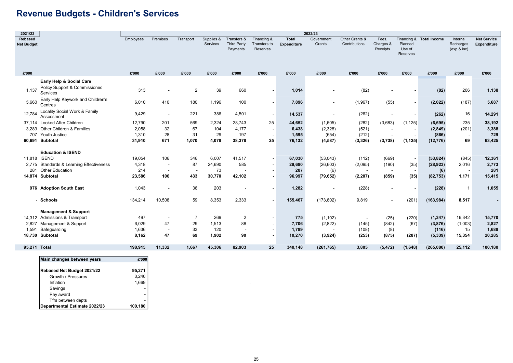## Revenue Budgets - Children's Services

| 2021/22                             |                                                                       |                 |                          |                |                        |                                               |                                         |                             | 2022/23                  |                                 |                                |                                      |                          |                                      |                                          |
|-------------------------------------|-----------------------------------------------------------------------|-----------------|--------------------------|----------------|------------------------|-----------------------------------------------|-----------------------------------------|-----------------------------|--------------------------|---------------------------------|--------------------------------|--------------------------------------|--------------------------|--------------------------------------|------------------------------------------|
| <b>Rebased</b><br><b>Net Budget</b> |                                                                       | Employees       | Premises                 | Transport      | Supplies &<br>Services | Transfers &<br><b>Third Party</b><br>Payments | Financing &<br>Transfers to<br>Reserves | <b>Total</b><br>Expenditure | Government<br>Grants     | Other Grants &<br>Contributions | Fees,<br>Charges &<br>Receipts | Planned<br>Use of<br><b>Reserves</b> | Financing & Total Income | Internal<br>Recharges<br>(exp 8 inc) | <b>Net Service</b><br><b>Expenditure</b> |
| £'000                               |                                                                       | £'000           | £'000                    | £'000          | £'000                  | £'000                                         | £'000                                   | £'000                       | £'000                    | £'000                           | £'000                          | £'000                                | £'000                    | £'000                                | £'000                                    |
| 1,137                               | Early Help & Social Care<br>Policy Support & Commissioned<br>Services | 313             |                          | $\overline{2}$ | 39                     | 660                                           | $\blacksquare$                          | 1,014                       |                          | (82)                            |                                |                                      | (82)                     | 206                                  | 1,138                                    |
| 5.660                               | Early Help Keywork and Children's<br>Centres                          | 6,010           | 410                      | 180            | 1,196                  | 100                                           | $\overline{\phantom{a}}$                | 7,896                       | $\overline{\phantom{a}}$ | (1,967)                         | (55)                           |                                      | (2,022)                  | (187)                                | 5,687                                    |
| 12,784                              | Locality Social Work & Family<br>Assessment                           | 9,429           | $\overline{\phantom{a}}$ | 221            | 386                    | 4,501                                         | $\overline{\phantom{a}}$                | 14,537                      |                          | (262)                           |                                |                                      | (262)                    | 16                                   | 14,291                                   |
|                                     | 37,114 Looked After Children<br>3,289 Other Children & Families       | 12,790<br>2,058 | 201<br>32                | 569<br>67      | 2,324<br>104           | 28,743<br>4,177                               | 25<br>$\overline{\phantom{a}}$          | 44,652<br>6,438             | (1,605)<br>(2,328)       | (282)<br>(521)                  | (3,683)                        | (1, 125)<br>$\overline{\phantom{a}}$ | (6, 695)<br>(2, 849)     | 235<br>(201)                         | 38,192<br>3,388                          |
| 707                                 | Youth Justice<br>60,691 Subtotal                                      | 1,310<br>31,910 | 28<br>671                | 31<br>1,070    | 29<br>4,078            | 197<br>38,378                                 | 25                                      | 1,595<br>76,132             | (654)<br>(4, 587)        | (212)<br>(3, 326)               | (3,738)                        | (1, 125)                             | (866)<br>(12, 776)       | 69                                   | 729<br>63,425                            |
|                                     | <b>Education &amp; ISEND</b>                                          |                 |                          |                |                        |                                               |                                         |                             |                          |                                 |                                |                                      |                          |                                      |                                          |
| 11.818 ISEND                        |                                                                       | 19,054          | 106                      | 346            | 6,007                  | 41,517                                        | $\blacksquare$                          | 67,030                      | (53,043)                 | (112)                           | (669)                          | $\blacksquare$                       | (53, 824)                | (845)                                | 12,361                                   |
|                                     | 2,775 Standards & Learning Effectiveness                              | 4,318           | $\overline{\phantom{a}}$ | 87             | 24,690                 | 585                                           | $\blacksquare$                          | 29,680                      | (26, 603)                | (2,095)                         | (190)                          | (35)                                 | (28, 923)                | 2,016                                | 2,773                                    |
|                                     | 281 Other Education                                                   | 214             |                          |                | 73                     |                                               | $\overline{\phantom{a}}$                | 287                         | (6)                      |                                 |                                |                                      | (6)                      |                                      | 281                                      |
|                                     | 14,874 Subtotal                                                       | 23,586          | 106                      | 433            | 30,770                 | 42,102                                        |                                         | 96,997                      | (79, 652)                | (2, 207)                        | (859)                          | (35)                                 | (82, 753)                | 1,171                                | 15,415                                   |
|                                     | 976 Adoption South East                                               | 1,043           |                          | 36             | 203                    |                                               | ٠                                       | 1,282                       |                          | (228)                           |                                |                                      | (228)                    | $\mathbf{1}$                         | 1,055                                    |
|                                     | - Schools                                                             | 134,214         | 10,508                   | 59             | 8,353                  | 2,333                                         | $\overline{\phantom{a}}$                | 155,467                     | (173, 602)               | 9,819                           |                                | (201)                                | (163, 984)               | 8,517                                |                                          |
|                                     | <b>Management &amp; Support</b>                                       |                 |                          |                |                        |                                               |                                         |                             |                          |                                 |                                |                                      |                          |                                      |                                          |
|                                     | 14,312 Admissions & Transport                                         | 497             | $\overline{\phantom{a}}$ | $\overline{7}$ | 269                    | $\overline{2}$                                |                                         | 775                         | (1, 102)                 | $\overline{\phantom{a}}$        | (25)                           | (220)                                | (1, 347)                 | 16,342                               | 15,770                                   |
| 2,827                               | Management & Support                                                  | 6,029           | 47                       | 29             | 1,513                  | 88                                            |                                         | 7,706                       | (2,822)                  | (145)                           | (842)                          | (67)                                 | (3,876)                  | (1,003)                              | 2,827                                    |
| 1,591                               | Safeguarding                                                          | 1,636           | $\overline{\phantom{a}}$ | 33             | 120                    | $\overline{\phantom{a}}$                      |                                         | 1,789                       |                          | (108)                           | (8)                            |                                      | (116)                    | 15                                   | 1,688                                    |
| 18.730                              | Subtotal                                                              | 8,162           | 47                       | 69             | 1,902                  | 90                                            | $\blacksquare$                          | 10,270                      | (3,924)                  | (253)                           | (875)                          | (287)                                | (5, 339)                 | 15,354                               | 20,285                                   |
| 95,271 Total                        |                                                                       | 198,915         | 11,332                   | 1,667          | 45,306                 | 82,903                                        | 25                                      | 340,148                     | (261, 765)               | 3,805                           | (5, 472)                       | (1,648)                              | (265,080)                | 25,112                               | 100,180                                  |
|                                     | Main changes between years                                            | £'000           |                          |                |                        |                                               |                                         |                             |                          |                                 |                                |                                      |                          |                                      |                                          |

| -                             |         |
|-------------------------------|---------|
| Rebased Net Budget 2021/22    | 95,271  |
| Growth / Pressures            | 3,240   |
| Inflation                     | 1,669   |
| Savings                       | ۰       |
| Pay award                     |         |
| Tfrs between depts            |         |
| Departmental Estimate 2022/23 | 100,180 |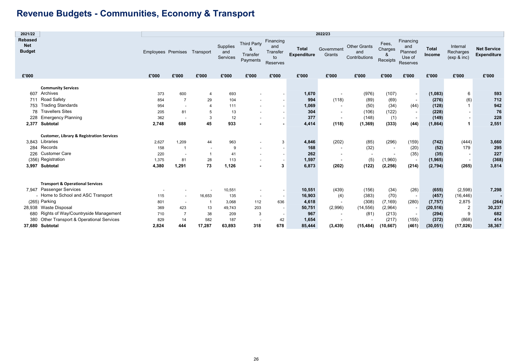## Revenue Budgets - Communities, Economy & Transport

T

| 2021/22                                       |                                                      |                           |                                |                          |                             |                                                 |                                                |                                    | 2022/23                  |                                             |                                   |                                                   |                        |                                      |                                          |
|-----------------------------------------------|------------------------------------------------------|---------------------------|--------------------------------|--------------------------|-----------------------------|-------------------------------------------------|------------------------------------------------|------------------------------------|--------------------------|---------------------------------------------|-----------------------------------|---------------------------------------------------|------------------------|--------------------------------------|------------------------------------------|
| <b>Rebased</b><br><b>Net</b><br><b>Budget</b> |                                                      | <b>Employees Premises</b> |                                | Transport                | Supplies<br>and<br>Services | <b>Third Party</b><br>8<br>Transfer<br>Payments | Financing<br>and<br>Transfer<br>to<br>Reserves | <b>Total</b><br><b>Expenditure</b> | Government<br>Grants     | <b>Other Grants</b><br>and<br>Contributions | Fees,<br>Charges<br>&<br>Receipts | Financing<br>and<br>Planned<br>Use of<br>Reserves | <b>Total</b><br>Income | Internal<br>Recharges<br>(exp & inc) | <b>Net Service</b><br><b>Expenditure</b> |
| £'000                                         |                                                      | £'000                     | £'000                          | £'000                    | £'000                       | £'000                                           | £'000                                          | £'000                              | £'000                    | £'000                                       | £'000                             | £'000                                             | £'000                  | £'000                                | £'000                                    |
|                                               | <b>Community Services</b>                            |                           |                                |                          |                             |                                                 |                                                |                                    |                          |                                             |                                   |                                                   |                        |                                      |                                          |
| 607                                           | Archives                                             | 373                       | 600                            | 4                        | 693                         |                                                 |                                                | 1,670                              |                          | (976)                                       | (107)                             | $\overline{\phantom{a}}$                          | (1,083)                | 6                                    | 593                                      |
| 711                                           | Road Safety                                          | 854                       | $\overline{7}$                 |                          | 104                         |                                                 |                                                | 994                                | (118)                    |                                             |                                   |                                                   | (276)                  |                                      | 712                                      |
| 753                                           | <b>Trading Standards</b>                             |                           |                                | 29<br>4                  | 111                         |                                                 |                                                | 1,069                              |                          | (89)                                        | (69)                              | $\overline{\phantom{a}}$                          | (128)                  | (6)<br>$\mathbf 1$                   | 942                                      |
| 78                                            | <b>Travellers Sites</b>                              | 954                       | $\overline{\phantom{a}}$<br>81 |                          |                             |                                                 |                                                | 304                                |                          | (50)<br>(106)                               | (34)                              | (44)                                              |                        |                                      | 76                                       |
| 228                                           | <b>Emergency Planning</b>                            | 205                       |                                | 5                        | 13                          |                                                 |                                                | 377                                | $\overline{\phantom{a}}$ |                                             | (122)                             | $\overline{\phantom{a}}$                          | (228)                  | $\overline{\phantom{a}}$             | 228                                      |
|                                               |                                                      | 362                       |                                | 3                        | 12                          |                                                 |                                                |                                    |                          | (148)                                       | (1)                               |                                                   | (149)                  |                                      |                                          |
| 2,377                                         | <b>Subtotal</b>                                      | 2,748                     | 688                            | 45                       | 933                         |                                                 |                                                | 4,414                              | (118)                    | (1, 369)                                    | (333)                             | (44)                                              | (1, 864)               | -1                                   | 2,551                                    |
|                                               | <b>Customer, Library &amp; Registration Services</b> |                           |                                |                          |                             |                                                 |                                                |                                    |                          |                                             |                                   |                                                   |                        |                                      |                                          |
|                                               | 3,843 Libraries                                      | 2,627                     | 1,209                          | 44                       | 963                         |                                                 | 3                                              | 4,846                              | (202)                    | (85)                                        | (296)                             | (159)                                             | (742)                  | (444)                                | 3,660                                    |
| 284                                           | Records                                              | 158                       | $\mathbf{1}$                   | $\overline{\phantom{a}}$ | 9                           |                                                 |                                                | 168                                |                          | (32)                                        |                                   | (20)                                              | (52)                   | 179                                  | 295                                      |
| 226                                           | <b>Customer Care</b>                                 | 220                       | $\overline{\phantom{a}}$       |                          | 41                          |                                                 |                                                | 262                                |                          | $\overline{\phantom{a}}$                    |                                   | (35)                                              | (35)                   |                                      | 227                                      |
|                                               | (356) Registration                                   | 1,375                     | 81                             | 28                       | 113                         |                                                 |                                                | 1,597                              |                          | (5)                                         | (1,960)                           | $\overline{\phantom{a}}$                          | (1, 965)               | $\overline{\phantom{a}}$             | (368)                                    |
|                                               | 3,997 Subtotal                                       | 4,380                     | 1,291                          | 73                       | 1,126                       |                                                 | 3                                              | 6,873                              | (202)                    | (122)                                       | (2, 256)                          | (214)                                             | (2,794)                | (265)                                | 3,814                                    |
|                                               |                                                      |                           |                                |                          |                             |                                                 |                                                |                                    |                          |                                             |                                   |                                                   |                        |                                      |                                          |
|                                               | <b>Transport &amp; Operational Services</b>          |                           |                                |                          |                             |                                                 |                                                |                                    |                          |                                             |                                   |                                                   |                        |                                      |                                          |
|                                               | 7,947 Passenger Services                             |                           |                                |                          | 10,551                      |                                                 | $\overline{\phantom{a}}$                       | 10,551                             | (439)                    | (156)                                       | (34)                              | (26)                                              | (655)                  | (2,598)                              | 7,298                                    |
|                                               | - Home to School and ASC Transport                   | 115                       |                                | 16,653                   | 135                         | $\sim$                                          | $\overline{\phantom{a}}$                       | 16,903                             | (4)                      | (383)                                       | (70)                              | $\overline{\phantom{a}}$                          | (457)                  | (16, 446)                            |                                          |
|                                               | (265) Parking                                        | 801                       | $\overline{\phantom{a}}$       |                          | 3,068                       | 112                                             | 636                                            | 4,618                              |                          | (308)                                       | (7, 169)                          | (280)                                             | (7, 757)               | 2,875                                | (264)                                    |
|                                               | 28,938 Waste Disposal                                | 369                       | 423                            | 13                       | 49,743                      | 203                                             |                                                | 50,751                             | (2,996)                  | (14, 556)                                   | (2,964)                           |                                                   | (20, 516)              | 2                                    | 30,237                                   |
|                                               | 680 Rights of Way/Countryside Management             | 710                       | 7                              | 38                       | 209                         | 3                                               | $\sim$                                         | 967                                | $\sim$                   | (81)                                        | (213)                             |                                                   | (294)                  | 9                                    | 682                                      |
| 380                                           | Other Transport & Operational Services               | 829                       | 14                             | 582                      | 187                         |                                                 | 42                                             | 1,654                              |                          |                                             | (217)                             | (155)                                             | (372)                  | (868)                                | 414                                      |
|                                               | 37.680 Subtotal                                      | 2,824                     | 444                            | 17,287                   | 63,893                      | 318                                             | 678                                            | 85,444                             | (3, 439)                 | (15, 484)                                   | (10, 667)                         | (461)                                             | (30, 051)              | (17, 026)                            | 38,367                                   |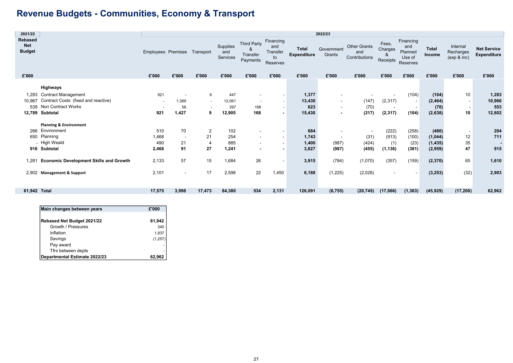## Revenue Budgets - Communities, Economy & Transport

| 2021/22                                       |                                                                                                                           | 2022/23                                |                          |                            |                                |                                                                                                              |                                                |                                    |                                                                                       |                                             |                                   |                                                      |                                         |                                                        |                                          |
|-----------------------------------------------|---------------------------------------------------------------------------------------------------------------------------|----------------------------------------|--------------------------|----------------------------|--------------------------------|--------------------------------------------------------------------------------------------------------------|------------------------------------------------|------------------------------------|---------------------------------------------------------------------------------------|---------------------------------------------|-----------------------------------|------------------------------------------------------|-----------------------------------------|--------------------------------------------------------|------------------------------------------|
| <b>Rebased</b><br><b>Net</b><br><b>Budget</b> |                                                                                                                           | Employees Premises Transport           |                          |                            | Supplies<br>and<br>Services    | <b>Third Party</b><br>&<br>Transfer<br>Payments                                                              | Financing<br>and<br>Transfer<br>to<br>Reserves | <b>Total</b><br><b>Expenditure</b> | Government<br>Grants                                                                  | <b>Other Grants</b><br>and<br>Contributions | Fees,<br>Charges<br>&<br>Receipts | Financing<br>and<br>Planned<br>Use of<br>Reserves    | <b>Total</b><br>Income                  | Internal<br>Recharges<br>(exp & inc)                   | <b>Net Service</b><br><b>Expenditure</b> |
| £'000                                         |                                                                                                                           | £'000                                  | £'000                    | £'000                      | £'000                          | £'000                                                                                                        | £'000                                          | £'000                              | £'000                                                                                 | £'000                                       | £'000                             | £'000                                                | £'000                                   | £'000                                                  | £'000                                    |
| 10,967                                        | Highways<br>1,283 Contract Management<br>Contract Costs (fixed and reactive)<br>539 Non Contract Works<br>12,789 Subtotal | 921<br>$\overline{\phantom{a}}$<br>921 | 1,369<br>58<br>1,427     | 9<br>$\sim$<br>9           | 447<br>12,061<br>397<br>12,905 | $\overline{\phantom{a}}$<br>$\sim$<br>168<br>168                                                             | $\sim$<br>$\sim$                               | 1,377<br>13,430<br>623<br>15,430   | ۰<br>$\overline{\phantom{a}}$<br>$\overline{\phantom{a}}$<br>$\overline{\phantom{0}}$ | (147)<br>(70)<br>(217)                      | (2, 317)<br>$\sim$<br>(2, 317)    | (104)<br>$\sim$<br>$\overline{\phantom{a}}$<br>(104) | (104)<br>(2, 464)<br>(70)<br>(2,638)    | 10<br>$\blacksquare$<br>$\overline{\phantom{a}}$<br>10 | 1,283<br>10,966<br>553<br>12,802         |
| 266<br>650                                    | <b>Planning &amp; Environment</b><br>Environment<br>Planning<br>- High Weald<br>916 Subtotal                              | 510<br>1,468<br>490<br>2,468           | 70<br>$\sim$<br>21<br>91 | $\overline{2}$<br>21<br>27 | 102<br>254<br>885<br>1,241     | $\overline{\phantom{a}}$<br>$\overline{\phantom{a}}$<br>$\overline{\phantom{a}}$<br>$\overline{\phantom{0}}$ |                                                | 684<br>1,743<br>1,400<br>3,827     | ٠<br>$\overline{\phantom{a}}$<br>(987)<br>(987)                                       | $\sim$<br>(31)<br>(424)<br>(455)            | (222)<br>(913)<br>(1)<br>(1, 136) | (258)<br>(100)<br>(23)<br>(381)                      | (480)<br>(1,044)<br>(1, 435)<br>(2,959) | $\blacksquare$<br>12<br>35<br>47                       | 204<br>711<br>915                        |
| 1.281                                         | <b>Economic Development Skills and Growth</b>                                                                             | 2,133                                  | 57                       | 15                         | 1,684                          | 26                                                                                                           |                                                | 3,915                              | (784)                                                                                 | (1,070)                                     | (357)                             | (159)                                                | (2, 370)                                | 65                                                     | 1,610                                    |
|                                               | 2,902 Management & Support                                                                                                | 2,101                                  | $\overline{\phantom{a}}$ | 17                         | 2,598                          | 22                                                                                                           | 1,450                                          | 6,188                              | (1,225)                                                                               | (2,028)                                     | $\overline{\phantom{a}}$          | $\overline{\phantom{a}}$                             | (3, 253)                                | (32)                                                   | 2,903                                    |
| 61.942 Total                                  |                                                                                                                           | 17,575                                 | 3,998                    | 17,473                     | 84,380                         | 534                                                                                                          | 2,131                                          | 126,091                            | (6, 755)                                                                              | (20, 745)                                   | (17,066)                          | (1, 363)                                             | (45, 929)                               | (17, 200)                                              | 62,962                                   |

| Main changes between years        | £'000    |
|-----------------------------------|----------|
| <b>Rebased Net Budget 2021/22</b> | 61,942   |
| Growth / Pressures                | 340      |
| Inflation                         | 1.937    |
| Savings                           | (1, 257) |
| Pay award                         |          |
| Tfrs between depts                |          |
| Departmental Estimate 2022/23     | 62,962   |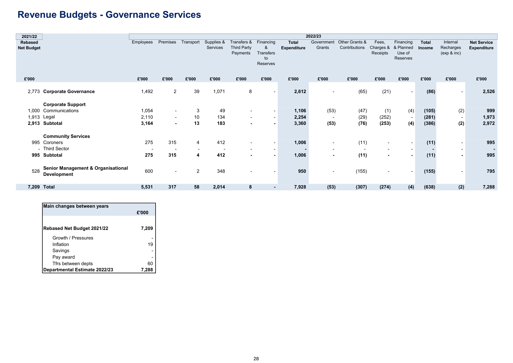## Revenue Budgets - Governance Services

|                           | 2022/23                                                                  |                                                                      |                              |                               |                                          |                          |                                      |                       |                                  |                                                               |                                                               |                                                                                                         |                                                                   |                                    |
|---------------------------|--------------------------------------------------------------------------|----------------------------------------------------------------------|------------------------------|-------------------------------|------------------------------------------|--------------------------|--------------------------------------|-----------------------|----------------------------------|---------------------------------------------------------------|---------------------------------------------------------------|---------------------------------------------------------------------------------------------------------|-------------------------------------------------------------------|------------------------------------|
|                           | Employees                                                                | Premises                                                             |                              | Supplies &                    | Transfers &                              | Financing                | <b>Total</b>                         | Government            |                                  | Fees,                                                         | Financing                                                     | Total                                                                                                   | Internal                                                          | <b>Net Service</b>                 |
| <b>Net Budget</b>         |                                                                          |                                                                      |                              | Services                      | <b>Third Party</b>                       | &                        | <b>Expenditure</b>                   | Grants                | Contributions                    | Charges &                                                     | & Planned                                                     | Income                                                                                                  | Recharges                                                         | <b>Expenditure</b>                 |
|                           |                                                                          |                                                                      |                              |                               |                                          |                          |                                      |                       |                                  |                                                               |                                                               |                                                                                                         |                                                                   |                                    |
|                           |                                                                          |                                                                      |                              |                               |                                          |                          |                                      |                       |                                  |                                                               |                                                               |                                                                                                         |                                                                   |                                    |
|                           |                                                                          |                                                                      |                              |                               |                                          |                          |                                      |                       |                                  |                                                               |                                                               |                                                                                                         |                                                                   |                                    |
|                           |                                                                          |                                                                      |                              |                               |                                          |                          |                                      |                       |                                  |                                                               |                                                               |                                                                                                         |                                                                   |                                    |
|                           |                                                                          |                                                                      |                              |                               |                                          |                          |                                      |                       |                                  |                                                               |                                                               |                                                                                                         |                                                                   | £'000                              |
|                           |                                                                          |                                                                      |                              |                               |                                          |                          |                                      |                       |                                  |                                                               |                                                               |                                                                                                         |                                                                   |                                    |
|                           |                                                                          |                                                                      |                              |                               |                                          | $\overline{\phantom{a}}$ |                                      | $\blacksquare$        |                                  |                                                               | $\overline{\phantom{a}}$                                      |                                                                                                         |                                                                   | 2,526                              |
|                           |                                                                          |                                                                      |                              |                               |                                          |                          |                                      |                       |                                  |                                                               |                                                               |                                                                                                         |                                                                   |                                    |
|                           |                                                                          |                                                                      |                              |                               |                                          |                          |                                      |                       |                                  |                                                               |                                                               |                                                                                                         |                                                                   |                                    |
| 1,000                     |                                                                          | $\overline{\phantom{a}}$                                             | 3                            |                               | $\overline{\phantom{a}}$                 |                          |                                      |                       |                                  |                                                               |                                                               |                                                                                                         |                                                                   | 999                                |
| 1,913 Legal               | 2,110                                                                    | $\sim$                                                               | 10                           | 134                           | $\overline{\phantom{a}}$                 | $\overline{\phantom{0}}$ | 2,254                                | $\sim$                |                                  |                                                               | $\overline{\phantom{0}}$                                      |                                                                                                         | $\sim$                                                            | 1,973                              |
| 2,913 Subtotal            | 3,164                                                                    | $\blacksquare$                                                       | 13                           | 183                           | $\blacksquare$                           |                          | 3,360                                | (53)                  |                                  |                                                               |                                                               |                                                                                                         |                                                                   | 2,972                              |
|                           |                                                                          |                                                                      |                              |                               |                                          |                          |                                      |                       |                                  |                                                               |                                                               |                                                                                                         |                                                                   |                                    |
| <b>Community Services</b> |                                                                          |                                                                      |                              |                               |                                          |                          |                                      |                       |                                  |                                                               |                                                               |                                                                                                         |                                                                   |                                    |
| 995 Coroners              | 275                                                                      | 315                                                                  | $\overline{4}$               | 412                           | $\overline{\phantom{a}}$                 |                          | 1,006                                | $\sim$                |                                  | $\blacksquare$                                                | $\overline{\phantom{a}}$                                      |                                                                                                         | $\sim$                                                            | 995                                |
| - Third Sector            | $\overline{\phantom{a}}$                                                 | $\overline{\phantom{a}}$                                             | $\overline{\phantom{a}}$     |                               | $\overline{\phantom{a}}$                 |                          |                                      | $\blacksquare$        | $\overline{\phantom{a}}$         | $\blacksquare$                                                | $\overline{\phantom{a}}$                                      |                                                                                                         | $\sim$                                                            | $\sim$                             |
| 995 Subtotal              | 275                                                                      | 315                                                                  | 4                            | 412                           | $\blacksquare$                           |                          | 1,006                                | $\blacksquare$        |                                  | $\blacksquare$                                                | $\overline{\phantom{a}}$                                      |                                                                                                         | $\sim$                                                            | 995                                |
|                           |                                                                          |                                                                      |                              |                               |                                          |                          |                                      |                       |                                  |                                                               |                                                               |                                                                                                         |                                                                   |                                    |
|                           |                                                                          |                                                                      |                              |                               |                                          |                          |                                      |                       |                                  |                                                               |                                                               |                                                                                                         |                                                                   |                                    |
| <b>Development</b>        |                                                                          |                                                                      |                              |                               |                                          |                          |                                      |                       |                                  | $\blacksquare$                                                |                                                               |                                                                                                         |                                                                   | 795                                |
|                           |                                                                          |                                                                      |                              |                               |                                          |                          |                                      |                       |                                  |                                                               |                                                               |                                                                                                         |                                                                   |                                    |
| 7,209 Total               | 5,531                                                                    | 317                                                                  | 58                           | 2,014                         | 8                                        | $\blacksquare$           | 7,928                                | (53)                  |                                  |                                                               | (4)                                                           | (638)                                                                                                   | (2)                                                               | 7,288                              |
|                           | 2,773 Corporate Governance<br><b>Corporate Support</b><br>Communications | £'000<br>1,492<br>1,054<br>Senior Management & Organisational<br>600 | £'000<br>2<br>$\blacksquare$ | £'000<br>39<br>$\overline{2}$ | Transport<br>£'000<br>1,071<br>49<br>348 | Payments<br>£'000<br>8   | Transfers<br>to<br>Reserves<br>£'000 | £'000<br>1,106<br>950 | £'000<br>2,612<br>$\blacksquare$ | £'000<br>(65)<br>(53)<br>(47)<br>(29)<br>(76)<br>(11)<br>(11) | Other Grants &<br>Receipts<br>£'000<br>(21)<br>(155)<br>(307) | Use of<br>Reserves<br>£'000<br>(4)<br>(1)<br>(252)<br>(4)<br>(253)<br>$\overline{\phantom{a}}$<br>(274) | £'000<br>(86)<br>(105)<br>(281)<br>(386)<br>(11)<br>(11)<br>(155) | (exp & inc)<br>£'000<br>(2)<br>(2) |

| Main changes between years    |       |
|-------------------------------|-------|
|                               | £'000 |
|                               |       |
| Rebased Net Budget 2021/22    | 7,209 |
| Growth / Pressures            |       |
| Inflation                     | 19    |
| Savings                       |       |
| Pay award                     |       |
| Tfrs between depts            | 60    |
| Departmental Estimate 2022/23 | 7.288 |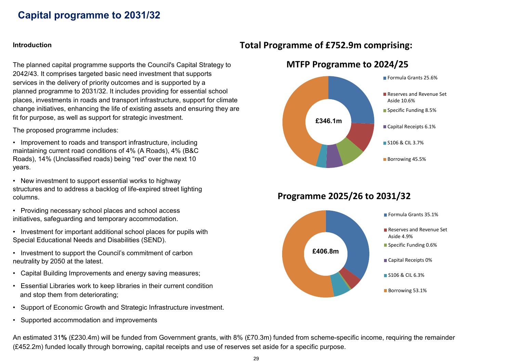## Capital programme to 2031/32

The planned capital programme supports the Council's Capital Strategy to 2042/43. It comprises targeted basic need investment that supports services in the delivery of priority outcomes and is supported by a planned programme to 2031/32. It includes providing for essential school places, investments in roads and transport infrastructure, support for climate change initiatives, enhancing the life of existing assets and ensuring they are fit for purpose, as well as support for strategic investment.

The proposed programme includes:

• Improvement to roads and transport infrastructure, including maintaining current road conditions of 4% (A Roads), 4% (B&C Roads), 14% (Unclassified roads) being "red" over the next 10 years.

• New investment to support essential works to highway structures and to address a backlog of life-expired street lighting columns.

• Providing necessary school places and school access initiatives, safeguarding and temporary accommodation.

- Investment for important additional school places for pupils with Special Educational Needs and Disabilities (SEND).
- Investment to support the Council's commitment of carbon neutrality by 2050 at the latest.
- Capital Building Improvements and energy saving measures;
- Essential Libraries work to keep libraries in their current condition and stop them from deteriorating;
- Support of Economic Growth and Strategic Infrastructure investment.
- Supported accommodation and improvements

### Introduction Introduction **Introduction** Total Programme of £752.9m comprising:



MTFP Programme to 2024/25

### Programme 2025/26 to 2031/32



An estimated 31% (£230.4m) will be funded from Government grants, with 8% (£70.3m) funded from scheme-specific income, requiring the remainder (£452.2m) funded locally through borrowing, capital receipts and use of reserves set aside for a specific purpose.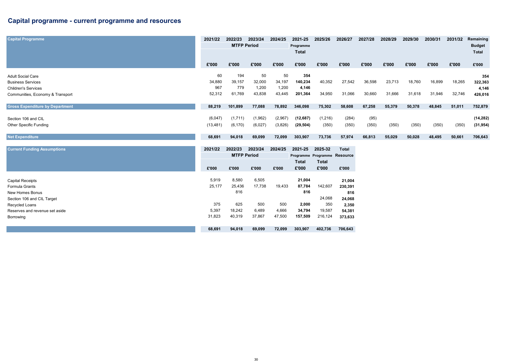### Capital programme - current programme and resources

| <b>Capital Programme</b>               | 2021/22   | 2022/23            | 2023/24 | 2024/25 | 2021-25                      | 2025/26 | 2026/27      | 2027/28 | 2028/29 | 2029/30 | 2030/31 | 2031/32 | Remaining     |
|----------------------------------------|-----------|--------------------|---------|---------|------------------------------|---------|--------------|---------|---------|---------|---------|---------|---------------|
|                                        |           | <b>MTFP Period</b> |         |         | Programme                    |         |              |         |         |         |         |         | <b>Budget</b> |
|                                        |           |                    |         |         | Total                        |         |              |         |         |         |         |         | Total         |
|                                        |           |                    |         |         |                              |         |              |         |         |         |         |         |               |
|                                        | £'000     | £'000              | £'000   | £'000   | £'000                        | £'000   | £'000        | £'000   | £'000   | £'000   | £'000   | £'000   | £'000         |
| <b>Adult Social Care</b>               | 60        | 194                | 50      | 50      | 354                          |         |              |         |         |         |         |         | 354           |
| <b>Business Services</b>               | 34,880    | 39,157             | 32,000  | 34,197  | 140,234                      | 40,352  | 27,542       | 36,598  | 23,713  | 18,760  | 16,899  | 18,265  | 322,363       |
| <b>Children's Services</b>             | 967       | 779                | 1,200   | 1,200   | 4,146                        |         |              |         |         |         |         |         | 4,146         |
| Communities, Economy & Transport       | 52,312    | 61,769             | 43,838  | 43,445  | 201,364                      | 34,950  | 31,066       | 30,660  | 31,666  | 31,618  | 31,946  | 32,746  | 426,016       |
|                                        |           |                    |         |         |                              |         |              |         |         |         |         |         |               |
| <b>Gross Expenditure by Department</b> | 88,219    | 101,899            | 77,088  | 78,892  | 346,098                      | 75,302  | 58,608       | 67,258  | 55,379  | 50,378  | 48,845  | 51,011  | 752,879       |
| Section 106 and CIL                    | (6,047)   | (1,711)            | (1,962) | (2,967) | (12,687)                     | (1,216) | (284)        | (95)    |         |         |         |         | (14, 282)     |
| <b>Other Specific Funding</b>          | (13, 481) | (6, 170)           | (6,027) | (3,826) | (29, 504)                    | (350)   | (350)        | (350)   | (350)   | (350)   | (350)   | (350)   | (31, 954)     |
| <b>Net Expenditure</b>                 | 68,691    | 94,018             | 69,099  | 72,099  | 303,907                      | 73,736  | 57,974       | 66,813  | 55,029  | 50,028  | 48,495  | 50,661  | 706,643       |
|                                        |           |                    |         |         |                              |         |              |         |         |         |         |         |               |
| <b>Current Funding Assumptions</b>     | 2021/22   | 2022/23            | 2023/24 | 2024/25 | 2021-25                      | 2025-32 | <b>Total</b> |         |         |         |         |         |               |
|                                        |           | <b>MTFP Period</b> |         |         | Programme Programme Resource |         |              |         |         |         |         |         |               |

|                                |        |        |        |        | <b>Total</b> | Total   |         |
|--------------------------------|--------|--------|--------|--------|--------------|---------|---------|
|                                | £'000  | £'000  | £'000  | £'000  | £'000        | £'000   | £'000   |
|                                |        |        |        |        |              |         |         |
| Capital Receipts               | 5,919  | 8,580  | 6,505  |        | 21,004       |         | 21,004  |
| Formula Grants                 | 25,177 | 25,436 | 17,738 | 19,433 | 87,784       | 142,607 | 230,391 |
| New Homes Bonus                |        | 816    |        |        | 816          |         | 816     |
| Section 106 and CIL Target     |        |        |        |        |              | 24,068  | 24,068  |
| Recycled Loans                 | 375    | 625    | 500    | 500    | 2,000        | 350     | 2,350   |
| Reserves and revenue set aside | 5,397  | 18,242 | 6,489  | 4,666  | 34,794       | 19,587  | 54,381  |
| Borrowing                      | 31,823 | 40,319 | 37,867 | 47,500 | 157,509      | 216,124 | 373,633 |
|                                |        |        |        |        |              |         |         |
|                                | 68,691 | 94,018 | 69,099 | 72,099 | 303,907      | 402,736 | 706,643 |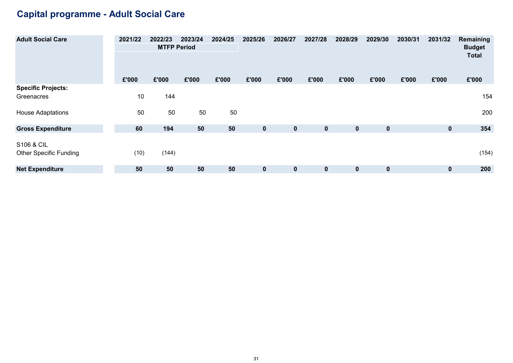## Capital programme - Adult Social Care

| <b>Adult Social Care</b>      | 2021/22 | 2022/23            | 2023/24 | 2024/25 | 2025/26      | 2026/27     | 2027/28     | 2028/29     | 2029/30     | 2030/31 | 2031/32      | Remaining                     |
|-------------------------------|---------|--------------------|---------|---------|--------------|-------------|-------------|-------------|-------------|---------|--------------|-------------------------------|
|                               |         | <b>MTFP Period</b> |         |         |              |             |             |             |             |         |              | <b>Budget</b><br><b>Total</b> |
|                               |         |                    |         |         |              |             |             |             |             |         |              |                               |
|                               | £'000   | £'000              | £'000   | £'000   | £'000        | £'000       | £'000       | £'000       | £'000       | £'000   | £'000        | £'000                         |
| <b>Specific Projects:</b>     |         |                    |         |         |              |             |             |             |             |         |              |                               |
| Greenacres                    | 10      | 144                |         |         |              |             |             |             |             |         |              | 154                           |
| <b>House Adaptations</b>      | 50      | 50                 | 50      | 50      |              |             |             |             |             |         |              | 200                           |
| <b>Gross Expenditure</b>      | 60      | 194                | 50      | 50      | $\mathbf{0}$ | $\mathbf 0$ | $\mathbf 0$ | $\mathbf 0$ | $\mathbf 0$ |         | $\mathbf{0}$ | 354                           |
|                               |         |                    |         |         |              |             |             |             |             |         |              |                               |
| S106 & CIL                    |         |                    |         |         |              |             |             |             |             |         |              |                               |
| <b>Other Specific Funding</b> | (10)    | (144)              |         |         |              |             |             |             |             |         |              | (154)                         |
| <b>Net Expenditure</b>        | 50      | 50                 | 50      | 50      | $\mathbf 0$  | $\mathbf 0$ | $\mathbf 0$ | $\mathbf 0$ | $\mathbf 0$ |         | $\mathbf{0}$ | 200                           |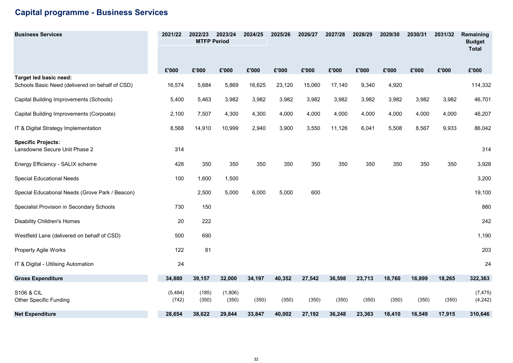### Capital programme - Business Services

| <b>Business Services</b>                                   | 2021/22           | 2022/23<br><b>MTFP Period</b> | 2023/24          | 2024/25 | 2025/26 | 2026/27 | 2027/28 | 2028/29 | 2029/30 | 2030/31 | 2031/32 | Remaining<br><b>Budget</b><br><b>Total</b> |
|------------------------------------------------------------|-------------------|-------------------------------|------------------|---------|---------|---------|---------|---------|---------|---------|---------|--------------------------------------------|
|                                                            | £'000             | £'000                         | £'000            | £'000   | £'000   | £'000   | £'000   | £'000   | £'000   | £'000   | £'000   | £'000                                      |
| Target led basic need:                                     |                   |                               |                  |         |         |         |         |         |         |         |         |                                            |
| Schools Basic Need (delivered on behalf of CSD)            | 16,574            | 5,684                         | 5,869            | 16,625  | 23,120  | 15,060  | 17,140  | 9,340   | 4,920   |         |         | 114,332                                    |
| Capital Building Improvements (Schools)                    | 5,400             | 5,463                         | 3,982            | 3,982   | 3,982   | 3,982   | 3,982   | 3,982   | 3,982   | 3,982   | 3,982   | 46,701                                     |
| Capital Building Improvements (Corpoate)                   | 2,100             | 7,507                         | 4,300            | 4,300   | 4,000   | 4,000   | 4,000   | 4,000   | 4,000   | 4,000   | 4,000   | 46,207                                     |
| IT & Digital Strategy Implementation                       | 8,568             | 14,910                        | 10,999           | 2,940   | 3,900   | 3,550   | 11,126  | 6,041   | 5,508   | 8,567   | 9,933   | 86,042                                     |
| <b>Specific Projects:</b><br>Lansdowne Secure Unit Phase 2 | 314               |                               |                  |         |         |         |         |         |         |         |         | 314                                        |
| Energy Efficiency - SALIX scheme                           | 428               | 350                           | 350              | 350     | 350     | 350     | 350     | 350     | 350     | 350     | 350     | 3,928                                      |
| Special Educational Needs                                  | 100               | 1,600                         | 1,500            |         |         |         |         |         |         |         |         | 3,200                                      |
| Special Educational Needs (Grove Park / Beacon)            |                   | 2,500                         | 5,000            | 6,000   | 5,000   | 600     |         |         |         |         |         | 19,100                                     |
| Specialist Provision in Secondary Schools                  | 730               | 150                           |                  |         |         |         |         |         |         |         |         | 880                                        |
| <b>Disability Children's Homes</b>                         | 20                | 222                           |                  |         |         |         |         |         |         |         |         | 242                                        |
| Westfield Lane (delivered on behalf of CSD)                | 500               | 690                           |                  |         |         |         |         |         |         |         |         | 1,190                                      |
| <b>Property Agile Works</b>                                | 122               | 81                            |                  |         |         |         |         |         |         |         |         | 203                                        |
| IT & Digital - Utilising Automation                        | 24                |                               |                  |         |         |         |         |         |         |         |         | 24                                         |
| <b>Gross Expenditure</b>                                   | 34,880            | 39,157                        | 32,000           | 34,197  | 40,352  | 27,542  | 36,598  | 23,713  | 18,760  | 16,899  | 18,265  | 322,363                                    |
| S106 & CIL<br><b>Other Specific Funding</b>                | (5, 484)<br>(742) | (185)<br>(350)                | (1,806)<br>(350) | (350)   | (350)   | (350)   | (350)   | (350)   | (350)   | (350)   | (350)   | (7, 475)<br>(4, 242)                       |
| <b>Net Expenditure</b>                                     | 28,654            | 38.622                        | 29,844           | 33,847  | 40,002  | 27,192  | 36,248  | 23,363  | 18,410  | 16,549  | 17,915  | 310,646                                    |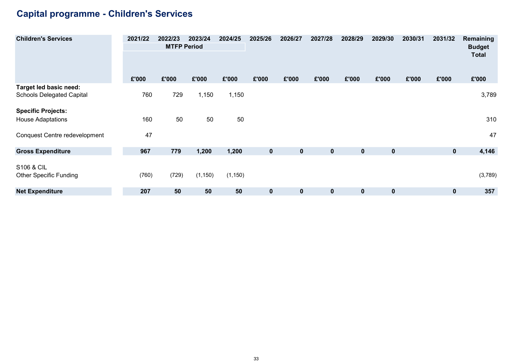## Capital programme - Children's Services

| <b>Children's Services</b>       | 2021/22 | 2022/23<br><b>MTFP Period</b> | 2023/24  | 2024/25  | 2025/26     | 2026/27          | 2027/28      | 2028/29     | 2029/30     | 2030/31 | 2031/32     | Remaining<br><b>Budget</b> |
|----------------------------------|---------|-------------------------------|----------|----------|-------------|------------------|--------------|-------------|-------------|---------|-------------|----------------------------|
|                                  |         |                               |          |          |             |                  |              |             |             |         |             | <b>Total</b>               |
|                                  | £'000   | £'000                         | £'000    | £'000    | £'000       | £'000            | £'000        | £'000       | £'000       | £'000   | £'000       | £'000                      |
| Target led basic need:           |         |                               |          |          |             |                  |              |             |             |         |             |                            |
| <b>Schools Delegated Capital</b> | 760     | 729                           | 1,150    | 1,150    |             |                  |              |             |             |         |             | 3,789                      |
| <b>Specific Projects:</b>        |         |                               |          |          |             |                  |              |             |             |         |             |                            |
| <b>House Adaptations</b>         | 160     | 50                            | 50       | 50       |             |                  |              |             |             |         |             | 310                        |
| Conquest Centre redevelopment    | 47      |                               |          |          |             |                  |              |             |             |         |             | 47                         |
| <b>Gross Expenditure</b>         | 967     | 779                           | 1,200    | 1,200    | $\mathbf 0$ | $\mathbf 0$      | $\mathbf{0}$ | $\mathbf 0$ | $\mathbf 0$ |         | $\mathbf 0$ | 4,146                      |
| S106 & CIL                       |         |                               |          |          |             |                  |              |             |             |         |             |                            |
| <b>Other Specific Funding</b>    | (760)   | (729)                         | (1, 150) | (1, 150) |             |                  |              |             |             |         |             | (3,789)                    |
| <b>Net Expenditure</b>           | 207     | 50                            | 50       | 50       | 0           | $\boldsymbol{0}$ | $\mathbf 0$  | $\mathbf 0$ | $\mathbf 0$ |         | $\mathbf 0$ | 357                        |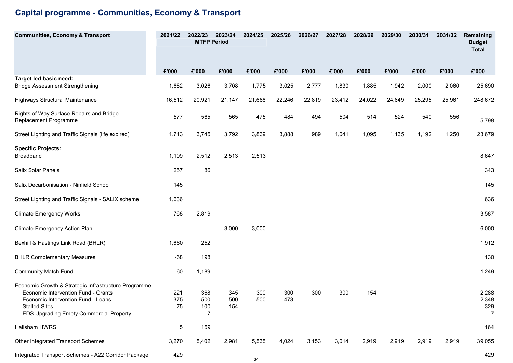## Capital programme - Communities, Economy & Transport

| <b>Communities, Economy &amp; Transport</b>                                                                                                                                                                 | 2021/22          | 2022/23<br><b>MTFP Period</b> | 2023/24           | 2024/25    | 2025/26    | 2026/27 | 2027/28 | 2028/29 | 2029/30 | 2030/31 | 2031/32 | Remaining<br><b>Budget</b>              |
|-------------------------------------------------------------------------------------------------------------------------------------------------------------------------------------------------------------|------------------|-------------------------------|-------------------|------------|------------|---------|---------|---------|---------|---------|---------|-----------------------------------------|
|                                                                                                                                                                                                             |                  |                               |                   |            |            |         |         |         |         |         |         | <b>Total</b>                            |
|                                                                                                                                                                                                             | £'000            | £'000                         | £'000             | £'000      | £'000      | £'000   | £'000   | £'000   | £'000   | £'000   | £'000   | £'000                                   |
| Target led basic need:<br><b>Bridge Assessment Strengthening</b>                                                                                                                                            | 1,662            | 3,026                         | 3,708             | 1,775      | 3,025      | 2,777   | 1,830   | 1,885   | 1,942   | 2,000   | 2,060   | 25,690                                  |
| Highways Structural Maintenance                                                                                                                                                                             | 16,512           | 20,921                        | 21,147            | 21,688     | 22,246     | 22,819  | 23,412  | 24,022  | 24,649  | 25,295  | 25,961  | 248,672                                 |
| Rights of Way Surface Repairs and Bridge<br>Replacement Programme                                                                                                                                           | 577              | 565                           | 565               | 475        | 484        | 494     | 504     | 514     | 524     | 540     | 556     | 5,798                                   |
| Street Lighting and Traffic Signals (life expired)                                                                                                                                                          | 1,713            | 3,745                         | 3,792             | 3,839      | 3,888      | 989     | 1,041   | 1,095   | 1,135   | 1,192   | 1,250   | 23,679                                  |
| <b>Specific Projects:</b><br><b>Broadband</b>                                                                                                                                                               | 1,109            | 2,512                         | 2,513             | 2,513      |            |         |         |         |         |         |         | 8,647                                   |
| Salix Solar Panels                                                                                                                                                                                          | 257              | 86                            |                   |            |            |         |         |         |         |         |         | 343                                     |
| Salix Decarbonisation - Ninfield School                                                                                                                                                                     | 145              |                               |                   |            |            |         |         |         |         |         |         | 145                                     |
| Street Lighting and Traffic Signals - SALIX scheme                                                                                                                                                          | 1,636            |                               |                   |            |            |         |         |         |         |         |         | 1,636                                   |
| <b>Climate Emergency Works</b>                                                                                                                                                                              | 768              | 2,819                         |                   |            |            |         |         |         |         |         |         | 3,587                                   |
| Climate Emergency Action Plan                                                                                                                                                                               |                  |                               | 3,000             | 3,000      |            |         |         |         |         |         |         | 6,000                                   |
| Bexhill & Hastings Link Road (BHLR)                                                                                                                                                                         | 1,660            | 252                           |                   |            |            |         |         |         |         |         |         | 1,912                                   |
| <b>BHLR Complementary Measures</b>                                                                                                                                                                          | $-68$            | 198                           |                   |            |            |         |         |         |         |         |         | 130                                     |
| <b>Community Match Fund</b>                                                                                                                                                                                 | 60               | 1,189                         |                   |            |            |         |         |         |         |         |         | 1,249                                   |
| Economic Growth & Strategic Infrastructure Programme<br>Economic Intervention Fund - Grants<br>Economic Intervention Fund - Loans<br><b>Stalled Sites</b><br><b>EDS Upgrading Empty Commercial Property</b> | 221<br>375<br>75 | 368<br>500<br>100<br>7        | 345<br>500<br>154 | 300<br>500 | 300<br>473 | 300     | 300     | 154     |         |         |         | 2,288<br>2,348<br>329<br>$\overline{7}$ |
| Hailsham HWRS                                                                                                                                                                                               | 5                | 159                           |                   |            |            |         |         |         |         |         |         | 164                                     |
| Other Integrated Transport Schemes                                                                                                                                                                          | 3,270            | 5,402                         | 2,981             | 5,535      | 4,024      | 3,153   | 3,014   | 2,919   | 2,919   | 2,919   | 2,919   | 39,055                                  |
| Integrated Transport Schemes - A22 Corridor Package                                                                                                                                                         | 429              |                               |                   | 34         |            |         |         |         |         |         |         | 429                                     |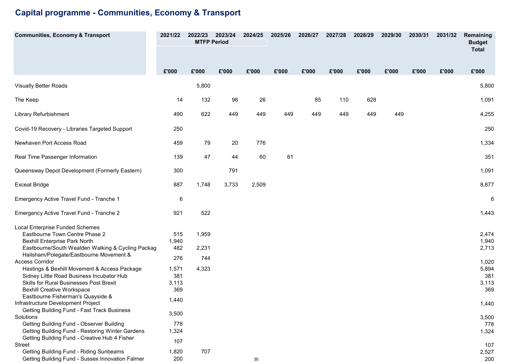## Capital programme - Communities, Economy & Transport

| <b>Communities, Economy &amp; Transport</b>                       | 2021/22 | 2022/23<br><b>MTFP Period</b> | 2023/24 | 2024/25 | 2025/26 | 2026/27 | 2027/28 | 2028/29 | 2029/30 | 2030/31 | 2031/32 | Remaining<br><b>Budget</b> |
|-------------------------------------------------------------------|---------|-------------------------------|---------|---------|---------|---------|---------|---------|---------|---------|---------|----------------------------|
|                                                                   |         |                               |         |         |         |         |         |         |         |         |         | <b>Total</b>               |
|                                                                   | £'000   | £'000                         | £'000   | £'000   | £'000   | £'000   | £'000   | £'000   | £'000   | £'000   | £'000   | £'000                      |
|                                                                   |         |                               |         |         |         |         |         |         |         |         |         |                            |
| <b>Visually Better Roads</b>                                      |         | 5,800                         |         |         |         |         |         |         |         |         |         | 5,800                      |
| The Keep                                                          | 14      | 132                           | 96      | 26      |         | 85      | 110     | 628     |         |         |         | 1,091                      |
| Library Refurbishment                                             | 490     | 622                           | 449     | 449     | 449     | 449     | 449     | 449     | 449     |         |         | 4,255                      |
| Covid-19 Recovery - Libraries Targeted Support                    | 250     |                               |         |         |         |         |         |         |         |         |         | 250                        |
| Newhaven Port Access Road                                         | 459     | 79                            | 20      | 776     |         |         |         |         |         |         |         | 1,334                      |
| Real Time Passenger Information                                   | 139     | 47                            | 44      | 60      | 61      |         |         |         |         |         |         | 351                        |
| Queensway Depot Development (Formerly Eastern)                    | 300     |                               | 791     |         |         |         |         |         |         |         |         | 1,091                      |
| <b>Exceat Bridge</b>                                              | 887     | 1,748                         | 3,733   | 2,509   |         |         |         |         |         |         |         | 8,877                      |
| Emergency Active Travel Fund - Tranche 1                          | 6       |                               |         |         |         |         |         |         |         |         |         | $\,6\,$                    |
| Emergency Active Travel Fund - Tranche 2                          | 921     | 522                           |         |         |         |         |         |         |         |         |         | 1,443                      |
| <b>Local Enterprise Funded Schemes</b>                            |         |                               |         |         |         |         |         |         |         |         |         |                            |
| Eastbourne Town Centre Phase 2                                    | 515     | 1,959                         |         |         |         |         |         |         |         |         |         | 2,474                      |
| <b>Bexhill Enterprise Park North</b>                              | 1,940   |                               |         |         |         |         |         |         |         |         |         | 1,940                      |
| Eastbourne/South Wealden Walking & Cycling Packag                 | 482     | 2,231                         |         |         |         |         |         |         |         |         |         | 2,713                      |
| Hailsham/Polegate/Eastbourne Movement &<br><b>Access Corridor</b> | 276     | 744                           |         |         |         |         |         |         |         |         |         | 1,020                      |
| Hastings & Bexhill Movement & Access Package                      | 1,571   | 4,323                         |         |         |         |         |         |         |         |         |         | 5,894                      |
| Sidney Little Road Business Incubator Hub                         | 381     |                               |         |         |         |         |         |         |         |         |         | 381                        |
| <b>Skills for Rural Businesses Post Brexit</b>                    | 3,113   |                               |         |         |         |         |         |         |         |         |         | 3,113                      |
| <b>Bexhill Creative Workspace</b>                                 | 369     |                               |         |         |         |         |         |         |         |         |         | 369                        |
| Eastbourne Fisherman's Quayside &                                 |         |                               |         |         |         |         |         |         |         |         |         |                            |
| Infrastructure Development Project                                | 1,440   |                               |         |         |         |         |         |         |         |         |         | 1,440                      |
| Getting Building Fund - Fast Track Business                       |         |                               |         |         |         |         |         |         |         |         |         |                            |
| Solutions                                                         | 3,500   |                               |         |         |         |         |         |         |         |         |         | 3,500                      |
| Getting Building Fund - Observer Building                         | 778     |                               |         |         |         |         |         |         |         |         |         | 778                        |
| Getting Building Fund - Restoring Winter Gardens                  | 1,324   |                               |         |         |         |         |         |         |         |         |         | 1,324                      |
| Getting Building Fund - Creative Hub 4 Fisher                     | 107     |                               |         |         |         |         |         |         |         |         |         |                            |
| Street                                                            |         |                               |         |         |         |         |         |         |         |         |         | 107                        |
| Getting Building Fund - Riding Sunbeams                           | 1,820   | 707                           |         |         |         |         |         |         |         |         |         | 2,527                      |
| Getting Building Fund - Sussex Innovation Falmer                  | 200     |                               |         | 35      |         |         |         |         |         |         |         | 200                        |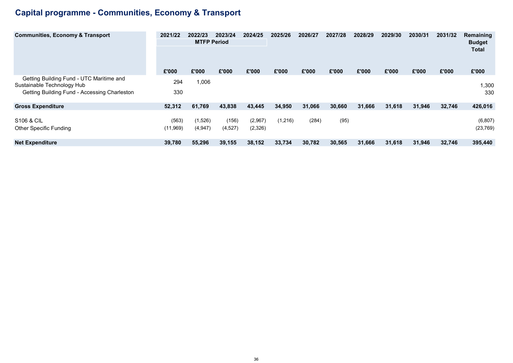## Capital programme - Communities, Economy & Transport

| <b>Communities, Economy &amp; Transport</b>                                                                            | 2021/22           | 2022/23<br><b>MTFP Period</b> | 2023/24           | 2024/25            | 2025/26  | 2026/27 | 2027/28 | 2028/29 | 2029/30 | 2030/31 | 2031/32 | Remaining<br><b>Budget</b><br><b>Total</b> |
|------------------------------------------------------------------------------------------------------------------------|-------------------|-------------------------------|-------------------|--------------------|----------|---------|---------|---------|---------|---------|---------|--------------------------------------------|
|                                                                                                                        | £'000             | £'000                         | £'000             | £'000              | £'000    | £'000   | £'000   | £'000   | £'000   | £'000   | £'000   | £'000                                      |
| Getting Building Fund - UTC Maritime and<br>Sustainable Technology Hub<br>Getting Building Fund - Accessing Charleston | 294<br>330        | 1,006                         |                   |                    |          |         |         |         |         |         |         | 1,300<br>330                               |
| <b>Gross Expenditure</b>                                                                                               | 52,312            | 61,769                        | 43,838            | 43,445             | 34,950   | 31,066  | 30,660  | 31,666  | 31,618  | 31,946  | 32,746  | 426,016                                    |
| <b>S106 &amp; CIL</b><br><b>Other Specific Funding</b>                                                                 | (563)<br>(11,969) | (1,526)<br>(4,947)            | (156)<br>(4, 527) | (2,967)<br>(2,326) | (1, 216) | (284)   | (95)    |         |         |         |         | (6, 807)<br>(23, 769)                      |
| <b>Net Expenditure</b>                                                                                                 | 39,780            | 55,296                        | 39,155            | 38,152             | 33,734   | 30,782  | 30,565  | 31,666  | 31,618  | 31,946  | 32,746  | 395,440                                    |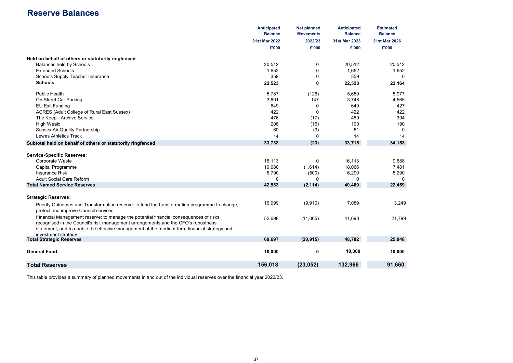### Reserve Balances

|                                                                                                                                                                                                                                                                                                  | <b>Anticipated</b><br><b>Balance</b> | <b>Net planned</b><br><b>Movements</b> | <b>Anticipated</b><br><b>Balance</b> | <b>Estimated</b><br><b>Balance</b> |
|--------------------------------------------------------------------------------------------------------------------------------------------------------------------------------------------------------------------------------------------------------------------------------------------------|--------------------------------------|----------------------------------------|--------------------------------------|------------------------------------|
|                                                                                                                                                                                                                                                                                                  | 31st Mar 2022                        | 2022/23                                | 31st Mar 2023                        | 31st Mar 2026                      |
|                                                                                                                                                                                                                                                                                                  | £'000                                | £'000                                  | £'000                                | £'000                              |
| Held on behalf of others or statutorily ringfenced                                                                                                                                                                                                                                               |                                      |                                        |                                      |                                    |
| Balances held by Schools                                                                                                                                                                                                                                                                         | 20,512                               | 0                                      | 20.512                               | 20.512                             |
| <b>Extended Schools</b>                                                                                                                                                                                                                                                                          | 1,652                                | 0                                      | 1,652                                | 1,652                              |
| Schools Supply Teacher Insurance                                                                                                                                                                                                                                                                 | 359                                  | $\mathbf 0$                            | 359                                  | $\mathbf 0$                        |
| <b>Schools</b>                                                                                                                                                                                                                                                                                   | 22,523                               | 0                                      | 22,523                               | 22,164                             |
| <b>Public Health</b>                                                                                                                                                                                                                                                                             | 5,787                                | (128)                                  | 5,659                                | 5,977                              |
| On Street Car Parking                                                                                                                                                                                                                                                                            | 3,601                                | 147                                    | 3,748                                | 4,565                              |
| <b>EU Exit Funding</b>                                                                                                                                                                                                                                                                           | 649                                  | $\mathbf 0$                            | 649                                  | 427                                |
| ACRES (Adult College of Rural East Sussex)                                                                                                                                                                                                                                                       | 422                                  | $\mathbf 0$                            | 422                                  | 422                                |
| The Keep - Archive Service                                                                                                                                                                                                                                                                       | 476                                  | (17)                                   | 459                                  | 394                                |
| <b>High Weald</b>                                                                                                                                                                                                                                                                                | 206                                  | (16)                                   | 190                                  | 190                                |
| <b>Sussex Air Quality Partnership</b>                                                                                                                                                                                                                                                            | 60                                   | (9)                                    | 51                                   | $\Omega$                           |
| <b>Lewes Athletics Track</b>                                                                                                                                                                                                                                                                     | 14                                   | $\Omega$                               | 14                                   | 14                                 |
| Subtotal held on behalf of others or statutorily ringfenced                                                                                                                                                                                                                                      | 33,738                               | (23)                                   | 33,715                               | 34,153                             |
| <b>Service-Specific Reserves:</b>                                                                                                                                                                                                                                                                |                                      |                                        |                                      |                                    |
| Corporate Waste                                                                                                                                                                                                                                                                                  | 16,113                               | 0                                      | 16,113                               | 9,688                              |
| <b>Capital Programme</b>                                                                                                                                                                                                                                                                         | 19,680                               | (1,614)                                | 18,066                               | 7,481                              |
| <b>Insurance Risk</b>                                                                                                                                                                                                                                                                            | 6,790                                | (500)                                  | 6,290                                | 5,290                              |
| <b>Adult Social Care Reform</b>                                                                                                                                                                                                                                                                  | $\Omega$                             | $\Omega$                               | 0                                    | $\Omega$                           |
| <b>Total Named Service Reserves</b>                                                                                                                                                                                                                                                              | 42,583                               | (2, 114)                               | 40,469                               | 22,459                             |
| <b>Strategic Reserves:</b>                                                                                                                                                                                                                                                                       |                                      |                                        |                                      |                                    |
| Priority Outcomes and Transformation reserve: to fund the transformation programme to change,<br>protect and improve Council services                                                                                                                                                            | 16,999                               | (9,910)                                | 7,089                                | 3,249                              |
| Financial Management reserve: to manage the potential financial consequences of risks<br>recognised in the Council's risk management arrangements and the CFO's robustness<br>statement, and to enable the effective management of the medium-term financial strategy and<br>investment strategy | 52,698                               | (11,005)                               | 41,693                               | 21,799                             |
| <b>Total Strategic Reserves</b>                                                                                                                                                                                                                                                                  | 69,697                               | (20, 915)                              | 48,782                               | 25,048                             |
|                                                                                                                                                                                                                                                                                                  |                                      |                                        |                                      |                                    |
| <b>General Fund</b>                                                                                                                                                                                                                                                                              | 10,000                               | 0                                      | 10,000                               | 10,000                             |
| <b>Total Reserves</b>                                                                                                                                                                                                                                                                            | 156,018                              | (23, 052)                              | 132,966                              | 91,660                             |
|                                                                                                                                                                                                                                                                                                  |                                      |                                        |                                      |                                    |

This table provides a summary of planned movements in and out of the individual reserves over the financial year 2022/23.